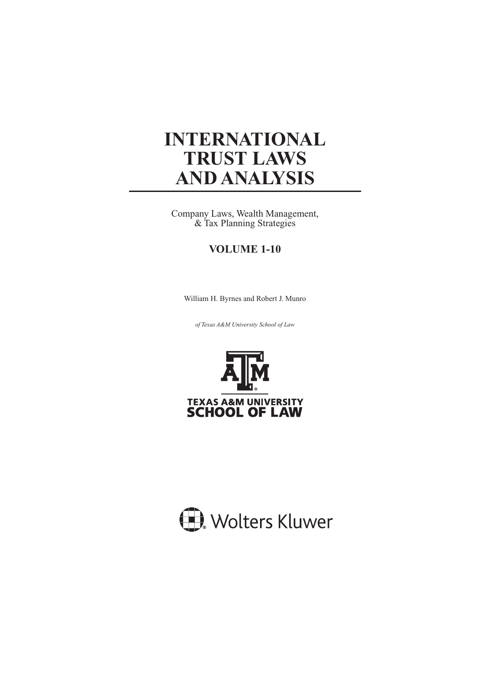# **INTERNATIONAL TRUST LAWS AND ANALYSIS**

Company Laws, Wealth Management, & Tax Planning Strategies

# **VOLUME 1-10**

William H. Byrnes and Robert J. Munro

*of Texas A&M University School of Law*



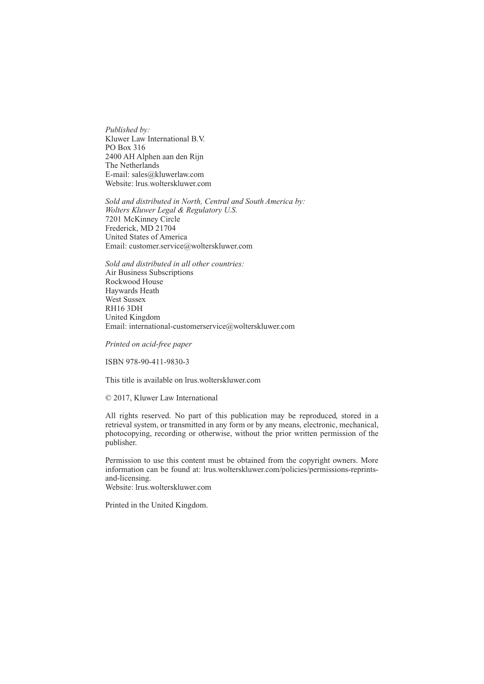*Published by:* Kluwer Law International B.V. PO Box 316 2400 AH Alphen aan den Rijn The Netherlands E-mail: sales@kluwerlaw.com Website: lrus.wolterskluwer.com

*Sold and distributed in North, Central and South America by: Wolters Kluwer Legal & Regulatory U.S.* 7201 McKinney Circle Frederick, MD 21704 United States of America Email: customer.service@wolterskluwer.com

*Sold and distributed in all other countries:* Air Business Subscriptions Rockwood House Haywards Heath West Sussex RH16 3DH United Kingdom Email: international-customerservice@wolterskluwer.com

*Printed on acid-free paper*

ISBN 978-90-411-9830-3

This title is available on lrus.wolterskluwer.com

© 2017, Kluwer Law International

All rights reserved. No part of this publication may be reproduced, stored in a retrieval system, or transmitted in any form or by any means, electronic, mechanical, photocopying, recording or otherwise, without the prior written permission of the publisher.

Permission to use this content must be obtained from the copyright owners. More information can be found at: lrus.wolterskluwer.com/policies/permissions-reprintsand-licensing.

Website: lrus.wolterskluwer.com

Printed in the United Kingdom.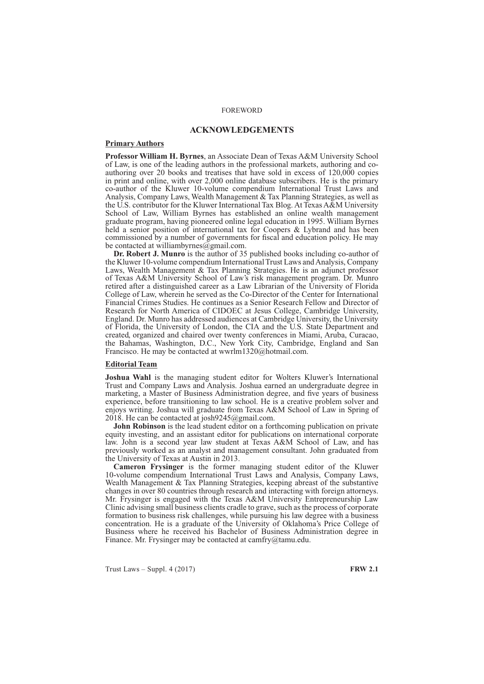# **ACKNOWLEDGEMENTS**

# **Primary Authors**

**Professor William H. Byrnes**, an Associate Dean of Texas A&M University School of Law, is one of the leading authors in the professional markets, authoring and coauthoring over 20 books and treatises that have sold in excess of 120,000 copies in print and online, with over 2,000 online database subscribers. He is the primary co-author of the Kluwer 10-volume compendium International Trust Laws and Analysis, Company Laws, Wealth Management & Tax Planning Strategies, as well as the U.S. contributor for the Kluwer International Tax Blog. At Texas A&M University School of Law, William Byrnes has established an online wealth management graduate program, having pioneered online legal education in 1995. William Byrnes held a senior position of international tax for Coopers & Lybrand and has been commissioned by a number of governments for fiscal and education policy. He may be contacted at williambyrnes $\omega$ gmail.com.

**Dr. Robert J. Munro** is the author of 35 published books including co-author of the Kluwer 10-volume compendium International Trust Laws and Analysis, Company Laws, Wealth Management & Tax Planning Strategies. He is an adjunct professor of Texas A&M University School of Law's risk management program. Dr. Munro retired after a distinguished career as a Law Librarian of the University of Florida College of Law, wherein he served as the Co-Director of the Center for International Financial Crimes Studies. He continues as a Senior Research Fellow and Director of Research for North America of CIDOEC at Jesus College, Cambridge University, England. Dr. Munro has addressed audiences at Cambridge University, the University of Florida, the University of London, the CIA and the U.S. State Department and created, organized and chaired over twenty conferences in Miami, Aruba, Curacao, the Bahamas, Washington, D.C., New York City, Cambridge, England and San Francisco. He may be contacted at wwrlm1320@hotmail.com.

## **Editorial Team**

**Joshua Wahl** is the managing student editor for Wolters Kluwer's International Trust and Company Laws and Analysis. Joshua earned an undergraduate degree in marketing, a Master of Business Administration degree, and five years of business experience, before transitioning to law school. He is a creative problem solver and enjoys writing. Joshua will graduate from Texas A&M School of Law in Spring of 2018. He can be contacted at josh9245@gmail.com.

**John Robinson** is the lead student editor on a forthcoming publication on private equity investing, and an assistant editor for publications on international corporate law. John is a second year law student at Texas A&M School of Law, and has previously worked as an analyst and management consultant. John graduated from the University of Texas at Austin in 2013.

**Cameron Frysinger** is the former managing student editor of the Kluwer 10-volume compendium International Trust Laws and Analysis, Company Laws, Wealth Management & Tax Planning Strategies, keeping abreast of the substantive changes in over 80 countries through research and interacting with foreign attorneys. Mr. Frysinger is engaged with the Texas A&M University Entrepreneurship Law Clinic advising small business clients cradle to grave, such as the process of corporate formation to business risk challenges, while pursuing his law degree with a business concentration. He is a graduate of the University of Oklahoma's Price College of Business where he received his Bachelor of Business Administration degree in Finance. Mr. Frysinger may be contacted at camfry@tamu.edu.

Trust Laws – Suppl. 4 (2017) **FRW 2.1**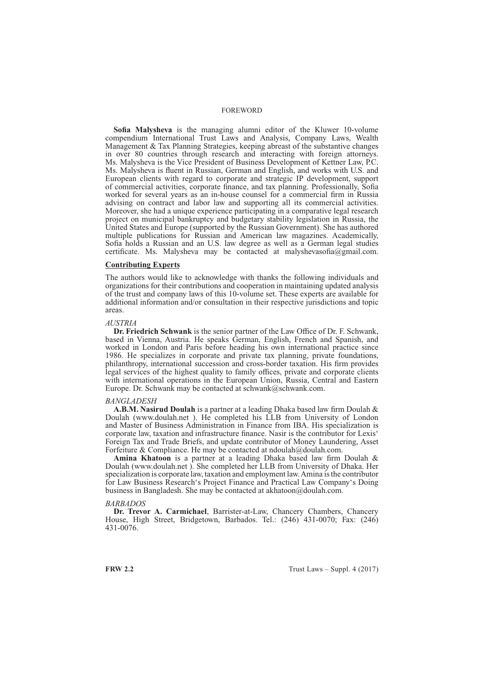**Sofia Malysheva** is the managing alumni editor of the Kluwer 10-volume compendium International Trust Laws and Analysis, Company Laws, Wealth Management & Tax Planning Strategies, keeping abreast of the substantive changes in over 80 countries through research and interacting with foreign attorneys. Ms. Malysheva is the Vice President of Business Development of Kettner Law, P.C. Ms. Malysheva is fluent in Russian, German and English, and works with U.S. and European clients with regard to corporate and strategic IP development, support of commercial activities, corporate finance, and tax planning. Professionally, Sofia worked for several years as an in-house counsel for a commercial firm in Russia advising on contract and labor law and supporting all its commercial activities. Moreover, she had a unique experience participating in a comparative legal research project on municipal bankruptcy and budgetary stability legislation in Russia, the United States and Europe (supported by the Russian Government). She has authored multiple publications for Russian and American law magazines. Academically, Sofia holds a Russian and an U.S. law degree as well as a German legal studies certificate. Ms. Malysheva may be contacted at malyshevasofia@gmail.com.

# **Contributing Experts**

The authors would like to acknowledge with thanks the following individuals and organizations for their contributions and cooperation in maintaining updated analysis of the trust and company laws of this 10-volume set. These experts are available for additional information and/or consultation in their respective jurisdictions and topic areas.

#### *AUSTRIA*

**Dr. Friedrich Schwank** is the senior partner of the Law Office of Dr. F. Schwank, based in Vienna, Austria. He speaks German, English, French and Spanish, and worked in London and Paris before heading his own international practice since 1986. He specializes in corporate and private tax planning, private foundations, philanthropy, international succession and cross-border taxation. His firm provides legal services of the highest quality to family offices, private and corporate clients with international operations in the European Union, Russia, Central and Eastern Europe. Dr. Schwank may be contacted at schwank@schwank.com.

#### *BANGLADESH*

**A.B.M. Nasirud Doulah** is a partner at a leading Dhaka based law firm Doulah & Doulah (www.doulah.net ). He completed his LLB from University of London and Master of Business Administration in Finance from IBA. His specialization is corporate law, taxation and infrastructure finance. Nasir is the contributor for Lexis' Foreign Tax and Trade Briefs, and update contributor of Money Laundering, Asset Forfeiture & Compliance. He may be contacted at ndoulah@doulah.com.

**Amina Khatoon** is a partner at a leading Dhaka based law firm Doulah & Doulah (www.doulah.net ). She completed her LLB from University of Dhaka. Her specialization is corporate law, taxation and employment law. Amina is the contributor for Law Business Research's Project Finance and Practical Law Company's Doing business in Bangladesh. She may be contacted at akhatoon@doulah.com.

#### *BARBADOS*

**Dr. Trevor A. Carmichael**, Barrister-at-Law, Chancery Chambers, Chancery House, High Street, Bridgetown, Barbados. Tel.: (246) 431-0070; Fax: (246) 431-0076.

**FRW 2.2** Trust Laws – Suppl. 4 (2017)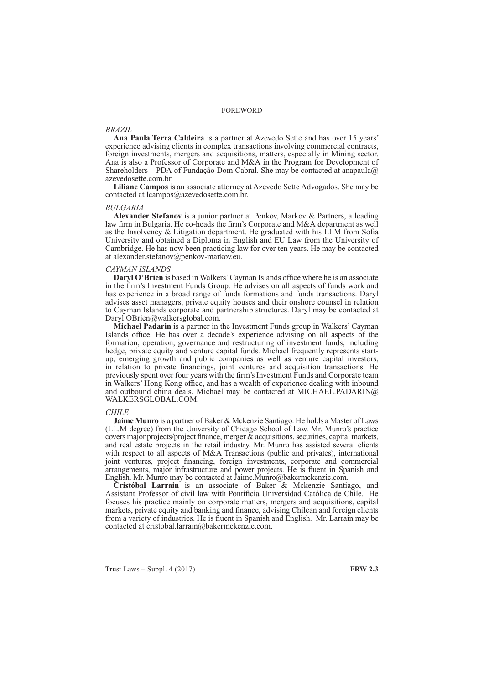#### *BRAZIL*

**Ana Paula Terra Caldeira** is a partner at Azevedo Sette and has over 15 years' experience advising clients in complex transactions involving commercial contracts, foreign investments, mergers and acquisitions, matters, especially in Mining sector. Ana is also a Professor of Corporate and M&A in the Program for Development of Shareholders – PDA of Fundação Dom Cabral. She may be contacted at anapaula $@$ azevedosette.com.br.

**Liliane Campos** is an associate attorney at Azevedo Sette Advogados. She may be contacted at lcampos@azevedosette.com.br.

#### *BULGARIA*

**Alexander Stefanov** is a junior partner at Penkov, Markov & Partners, a leading law firm in Bulgaria. He co-heads the firm's Corporate and M&A department as well as the Insolvency & Litigation department. He graduated with his LLM from Sofia University and obtained a Diploma in English and EU Law from the University of Cambridge. He has now been practicing law for over ten years. He may be contacted at alexander.stefanov@penkov-markov.eu.

## *CAYMAN ISLANDS*

**Daryl O'Brien** is based in Walkers' Cayman Islands office where he is an associate in the firm's Investment Funds Group. He advises on all aspects of funds work and has experience in a broad range of funds formations and funds transactions. Daryl advises asset managers, private equity houses and their onshore counsel in relation to Cayman Islands corporate and partnership structures. Daryl may be contacted at Daryl.OBrien@walkersglobal.com.

**Michael Padarin** is a partner in the Investment Funds group in Walkers' Cayman Islands office. He has over a decade's experience advising on all aspects of the formation, operation, governance and restructuring of investment funds, including hedge, private equity and venture capital funds. Michael frequently represents startup, emerging growth and public companies as well as venture capital investors, in relation to private financings, joint ventures and acquisition transactions. He previously spent over four years with the firm's Investment Funds and Corporate team in Walkers' Hong Kong office, and has a wealth of experience dealing with inbound and outbound china deals. Michael may be contacted at MICHAEL.PADARIN@ WALKERSGLOBAL.COM.

#### *CHILE*

**Jaime Munro** is a partner of Baker & Mckenzie Santiago. He holds a Master of Laws (LL.M degree) from the University of Chicago School of Law. Mr. Munro's practice covers major projects/project finance, merger & acquisitions, securities, capital markets, and real estate projects in the retail industry. Mr. Munro has assisted several clients with respect to all aspects of M&A Transactions (public and privates), international joint ventures, project financing, foreign investments, corporate and commercial arrangements, major infrastructure and power projects. He is fluent in Spanish and English. Mr. Munro may be contacted at Jaime.Munro@bakermckenzie.com.

**Cristóbal Larrain** is an associate of Baker & Mckenzie Santiago, and Assistant Professor of civil law with Pontificia Universidad Católica de Chile. He focuses his practice mainly on corporate matters, mergers and acquisitions, capital markets, private equity and banking and finance, advising Chilean and foreign clients from a variety of industries. He is fluent in Spanish and English. Mr. Larrain may be contacted at cristobal.larrain@bakermckenzie.com.

Trust Laws – Suppl. 4 (2017) **FRW 2.3**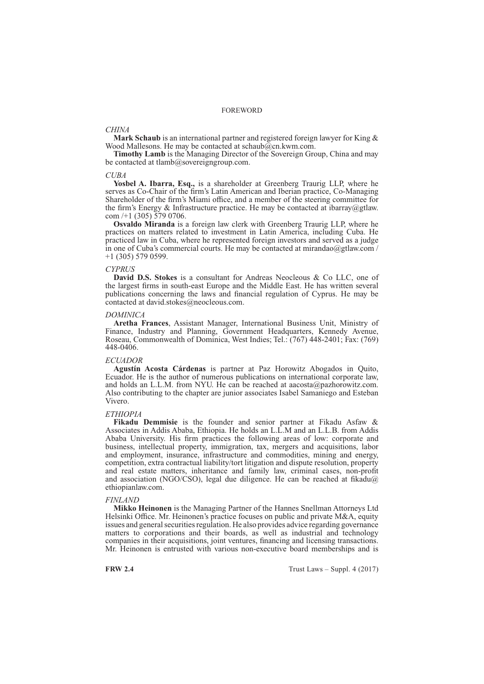## *CHINA*

**Mark Schaub** is an international partner and registered foreign lawyer for King & Wood Mallesons. He may be contacted at schaub@cn.kwm.com.

**Timothy Lamb** is the Managing Director of the Sovereign Group, China and may be contacted at tlamb@sovereigngroup.com.

#### *CUBA*

**Yosbel A. Ibarra, Esq.,** is a shareholder at Greenberg Traurig LLP, where he serves as Co-Chair of the firm's Latin American and Iberian practice, Co-Managing Shareholder of the firm's Miami office, and a member of the steering committee for the firm's Energy & Infrastructure practice. He may be contacted at ibarray $\omega$ gtlaw. com /+1 (305) 579 0706.

**Osvaldo Miranda** is a foreign law clerk with Greenberg Traurig LLP, where he practices on matters related to investment in Latin America, including Cuba. He practiced law in Cuba, where he represented foreign investors and served as a judge in one of Cuba's commercial courts. He may be contacted at mirandao@gtlaw.com / +1 (305) 579 0599.

#### *CYPRUS*

**David D.S. Stokes** is a consultant for Andreas Neocleous & Co LLC, one of the largest firms in south-east Europe and the Middle East. He has written several publications concerning the laws and financial regulation of Cyprus. He may be contacted at david.stokes@neocleous.com.

#### *DOMINICA*

**Aretha Frances**, Assistant Manager, International Business Unit, Ministry of Finance, Industry and Planning, Government Headquarters, Kennedy Avenue, Roseau, Commonwealth of Dominica, West Indies; Tel.: (767) 448-2401; Fax: (769) 448-0406.

### *ECUADOR*

**Agustín Acosta Cárdenas** is partner at Paz Horowitz Abogados in Quito, Ecuador. He is the author of numerous publications on international corporate law, and holds an L.L.M. from NYU. He can be reached at aacosta@pazhorowitz.com. Also contributing to the chapter are junior associates Isabel Samaniego and Esteban Vivero.

#### *ETHIOPIA*

**Fikadu Demmisie** is the founder and senior partner at Fikadu Asfaw & Associates in Addis Ababa, Ethiopia. He holds an L.L.M and an L.L.B. from Addis Ababa University. His firm practices the following areas of low: corporate and business, intellectual property, immigration, tax, mergers and acquisitions, labor and employment, insurance, infrastructure and commodities, mining and energy, competition, extra contractual liability/tort litigation and dispute resolution, property and real estate matters, inheritance and family law, criminal cases, non-profit and association (NGO/CSO), legal due diligence. He can be reached at fikadu $@$ ethiopianlaw.com.

#### *FINLAND*

**Mikko Heinonen** is the Managing Partner of the Hannes Snellman Attorneys Ltd Helsinki Office. Mr. Heinonen's practice focuses on public and private M&A, equity issues and general securities regulation. He also provides advice regarding governance matters to corporations and their boards, as well as industrial and technology companies in their acquisitions, joint ventures, financing and licensing transactions. Mr. Heinonen is entrusted with various non-executive board memberships and is

**FRW 2.4** Trust Laws – Suppl. 4 (2017)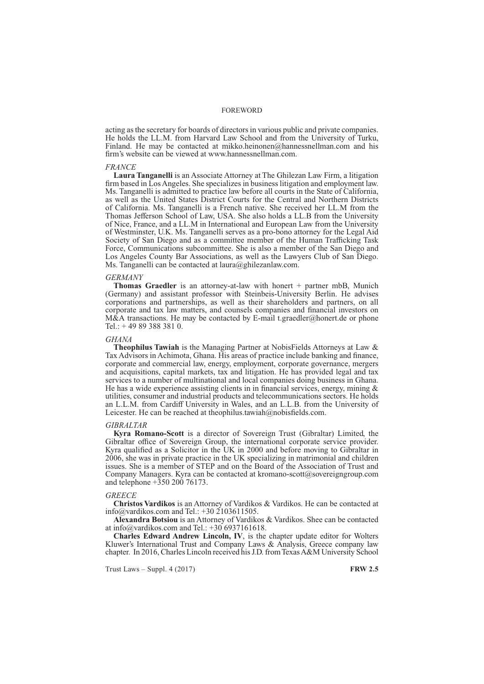acting as the secretary for boards of directors in various public and private companies. He holds the LL.M. from Harvard Law School and from the University of Turku, Finland. He may be contacted at mikko.heinonen@hannessnellman.com and his firm's website can be viewed at www.hannessnellman.com.

#### *FRANCE*

**Laura Tanganelli** is an Associate Attorney at The Ghilezan Law Firm, a litigation firm based in Los Angeles. She specializes in business litigation and employment law. Ms. Tanganelli is admitted to practice law before all courts in the State of California, as well as the United States District Courts for the Central and Northern Districts of California. Ms. Tanganelli is a French native. She received her LL.M from the Thomas Jefferson School of Law, USA. She also holds a LL.B from the University of Nice, France, and a LL.M in International and European Law from the University of Westminster, U.K. Ms. Tanganelli serves as a pro-bono attorney for the Legal Aid Society of San Diego and as a committee member of the Human Trafficking Task Force, Communications subcommittee. She is also a member of the San Diego and Los Angeles County Bar Associations, as well as the Lawyers Club of San Diego. Ms. Tanganelli can be contacted at  $laura@ghilezanlaw.com$ .

#### *GERMANY*

**Thomas Graedler** is an attorney-at-law with honert + partner mbB, Munich (Germany) and assistant professor with Steinbeis-University Berlin. He advises corporations and partnerships, as well as their shareholders and partners, on all corporate and tax law matters, and counsels companies and financial investors on  $M\&A$  transactions. He may be contacted by E-mail t.graedler@honert.de or phone Tel.:  $+ 49893883810$ .

#### *GHANA*

**Theophilus Tawiah** is the Managing Partner at NobisFields Attorneys at Law & Tax Advisors in Achimota, Ghana. His areas of practice include banking and finance, corporate and commercial law, energy, employment, corporate governance, mergers and acquisitions, capital markets, tax and litigation. He has provided legal and tax services to a number of multinational and local companies doing business in Ghana. He has a wide experience assisting clients in in financial services, energy, mining  $\&$ utilities, consumer and industrial products and telecommunications sectors. He holds an L.L.M. from Cardiff University in Wales, and an L.L.B. from the University of Leicester. He can be reached at theophilus.tawiah@nobisfields.com.

#### *GIBRALTAR*

**Kyra Romano-Scott** is a director of Sovereign Trust (Gibraltar) Limited, the Gibraltar office of Sovereign Group, the international corporate service provider. Kyra qualified as a Solicitor in the UK in 2000 and before moving to Gibraltar in 2006, she was in private practice in the UK specializing in matrimonial and children issues. She is a member of STEP and on the Board of the Association of Trust and Company Managers. Kyra can be contacted at kromano-scott@sovereigngroup.com and telephone +350 200 76173.

# *GREECE*

**Christos Vardikos** is an Attorney of Vardikos & Vardikos. He can be contacted at info@vardikos.com and Tel.:  $+30\,2103611505$ .

**Alexandra Botsiou** is an Attorney of Vardikos & Vardikos. Shee can be contacted at info@vardikos.com and Tel.:  $+30$  6937161618.

**Charles Edward Andrew Lincoln, IV**, is the chapter update editor for Wolters Kluwer's International Trust and Company Laws & Analysis, Greece company law chapter. In 2016, Charles Lincoln received his J.D. from Texas A&M University School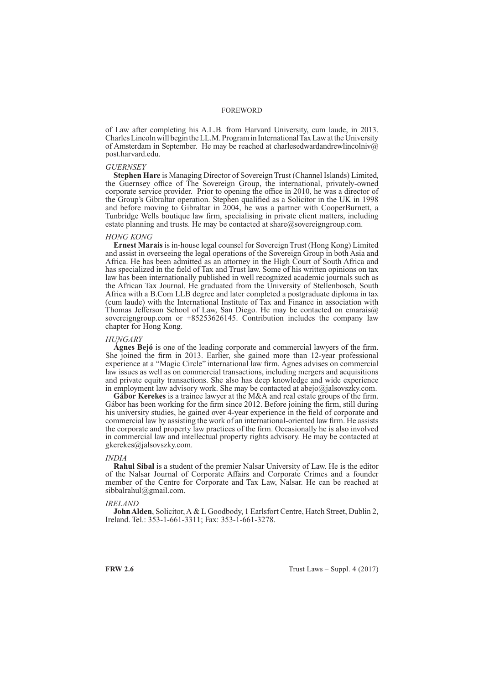of Law after completing his A.L.B. from Harvard University, cum laude, in 2013. Charles Lincoln will begin the LL.M. Program in International Tax Law at the University of Amsterdam in September. He may be reached at charlesedwardandrewlincolniv $\phi$ post.harvard.edu.

# *GUERNSEY*

**Stephen Hare** is Managing Director of Sovereign Trust (Channel Islands) Limited, the Guernsey office of The Sovereign Group, the international, privately-owned corporate service provider. Prior to opening the office in 2010, he was a director of the Group's Gibraltar operation. Stephen qualified as a Solicitor in the UK in 1998 and before moving to Gibraltar in 2004, he was a partner with CooperBurnett, a Tunbridge Wells boutique law firm, specialising in private client matters, including estate planning and trusts. He may be contacted at share@sovereigngroup.com.

#### *HONG KONG*

**Ernest Marais** is in-house legal counsel for Sovereign Trust (Hong Kong) Limited and assist in overseeing the legal operations of the Sovereign Group in both Asia and Africa. He has been admitted as an attorney in the High Court of South Africa and has specialized in the field of Tax and Trust law. Some of his written opinions on tax law has been internationally published in well recognized academic journals such as the African Tax Journal. He graduated from the University of Stellenbosch, South Africa with a B.Com LLB degree and later completed a postgraduate diploma in tax (cum laude) with the International Institute of Tax and Finance in association with Thomas Jefferson School of Law, San Diego. He may be contacted on emarais@ sovereigngroup.com or  $+85253626145$ . Contribution includes the company law chapter for Hong Kong.

#### *HUNGARY*

**Ágnes Bejó** is one of the leading corporate and commercial lawyers of the firm. She joined the firm in 2013. Earlier, she gained more than 12-year professional experience at a "Magic Circle" international law firm. Ágnes advises on commercial law issues as well as on commercial transactions, including mergers and acquisitions and private equity transactions. She also has deep knowledge and wide experience in employment law advisory work. She may be contacted at abejo@jalsovszky.com.

**Gábor Kerekes** is a trainee lawyer at the M&A and real estate groups of the firm. Gábor has been working for the firm since 2012. Before joining the firm, still during his university studies, he gained over 4-year experience in the field of corporate and commercial law by assisting the work of an international-oriented law firm. He assists the corporate and property law practices of the firm. Occasionally he is also involved in commercial law and intellectual property rights advisory. He may be contacted at gkerekes@jalsovszky.com.

## *INDIA*

**Rahul Sibal** is a student of the premier Nalsar University of Law. He is the editor of the Nalsar Journal of Corporate Affairs and Corporate Crimes and a founder member of the Centre for Corporate and Tax Law, Nalsar. He can be reached at sibbalrahul@gmail.com.

#### *IRELAND*

**John Alden**, Solicitor, A & L Goodbody, 1 Earlsfort Centre, Hatch Street, Dublin 2, Ireland. Tel.: 353-1-661-3311; Fax: 353-1-661-3278.

**FRW 2.6** Trust Laws – Suppl. 4 (2017)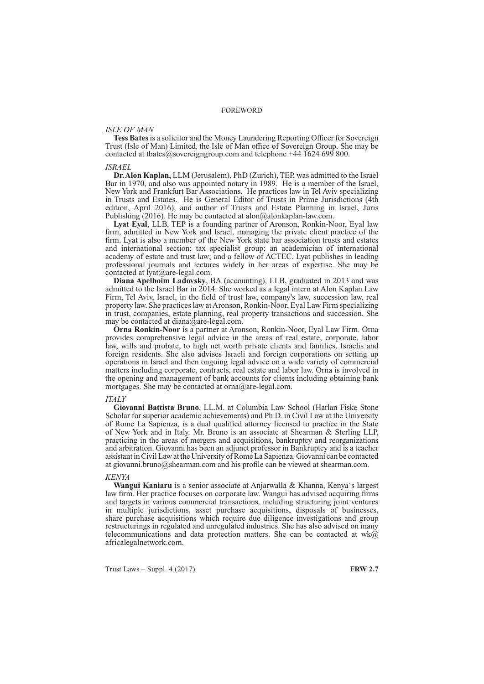### *ISLE OF MAN*

**Tess Bates** is a solicitor and the Money Laundering Reporting Officer for Sovereign Trust (Isle of Man) Limited, the Isle of Man office of Sovereign Group. She may be contacted at tbates  $@sovereigngroup.com$  and telephone +44 1624 699 800.

#### *ISRAEL*

**Dr. Alon Kaplan,** LLM (Jerusalem), PhD (Zurich), TEP, was admitted to the Israel Bar in 1970, and also was appointed notary in 1989. He is a member of the Israel, New York and Frankfurt Bar Associations. He practices law in Tel Aviv specializing in Trusts and Estates. He is General Editor of Trusts in Prime Jurisdictions (4th edition, April 2016), and author of Trusts and Estate Planning in Israel, Juris Publishing (2016). He may be contacted at alon@alonkaplan-law.com.

**Lyat Eyal**, LLB, TEP is a founding partner of Aronson, Ronkin-Noor, Eyal law firm, admitted in New York and Israel, managing the private client practice of the firm. Lyat is also a member of the New York state bar association trusts and estates and international section; tax specialist group; an academician of international academy of estate and trust law; and a fellow of ACTEC. Lyat publishes in leading professional journals and lectures widely in her areas of expertise. She may be contacted at  $\text{Ivat}(\omega)$  are-legal.com.

**Diana Apelboim Ladovsky**, BA (accounting), LLB, graduated in 2013 and was admitted to the Israel Bar in 2014. She worked as a legal intern at Alon Kaplan Law Firm, Tel Aviv, Israel, in the field of trust law, company's law, succession law, real property law. She practices law at Aronson, Ronkin-Noor, Eyal Law Firm specializing in trust, companies, estate planning, real property transactions and succession. She may be contacted at diana@are-legal.com.

**Orna Ronkin-Noor** is a partner at Aronson, Ronkin-Noor, Eyal Law Firm. Orna provides comprehensive legal advice in the areas of real estate, corporate, labor law, wills and probate, to high net worth private clients and families, Israelis and foreign residents. She also advises Israeli and foreign corporations on setting up operations in Israel and then ongoing legal advice on a wide variety of commercial matters including corporate, contracts, real estate and labor law. Orna is involved in the opening and management of bank accounts for clients including obtaining bank mortgages. She may be contacted at orna@are-legal.com.

#### *ITALY*

**Giovanni Battista Bruno**, LL.M. at Columbia Law School (Harlan Fiske Stone Scholar for superior academic achievements) and Ph.D. in Civil Law at the University of Rome La Sapienza, is a dual qualified attorney licensed to practice in the State of New York and in Italy. Mr. Bruno is an associate at Shearman & Sterling LLP, practicing in the areas of mergers and acquisitions, bankruptcy and reorganizations and arbitration. Giovanni has been an adjunct professor in Bankruptcy and is a teacher assistant in Civil Law at the University of Rome La Sapienza. Giovanni can be contacted at giovanni.bruno@shearman.com and his profile can be viewed at shearman.com.

## *KENYA*

**Wangui Kaniaru** is a senior associate at Anjarwalla & Khanna, Kenya's largest law firm. Her practice focuses on corporate law. Wangui has advised acquiring firms and targets in various commercial transactions, including structuring joint ventures in multiple jurisdictions, asset purchase acquisitions, disposals of businesses, share purchase acquisitions which require due diligence investigations and group restructurings in regulated and unregulated industries. She has also advised on many telecommunications and data protection matters. She can be contacted at  $wk@$ africalegalnetwork.com.

Trust Laws – Suppl. 4 (2017) **FRW 2.7**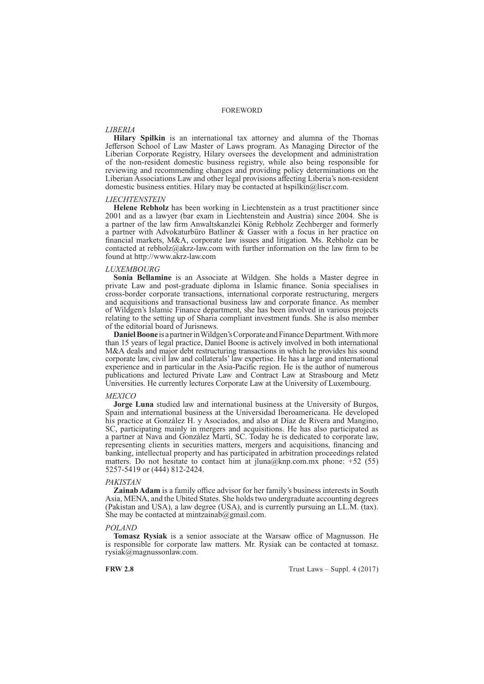#### *LIBERIA*

**Hilary Spilkin** is an international tax attorney and alumna of the Thomas Jefferson School of Law Master of Laws program. As Managing Director of the Liberian Corporate Registry, Hilary oversees the development and administration of the non-resident domestic business registry, while also being responsible for reviewing and recommending changes and providing policy determinations on the Liberian Associations Law and other legal provisions affecting Liberia's non-resident domestic business entities. Hilary may be contacted at hspilkin@liscr.com.

#### *LIECHTENSTEIN*

**Helene Rebholz** has been working in Liechtenstein as a trust practitioner since 2001 and as a lawyer (bar exam in Liechtenstein and Austria) since 2004. She is a partner of the law firm Anwaltskanzlei König Rebholz Zechberger and formerly a partner with Advokaturbüro Batliner & Gasser with a focus in her practice on financial markets, M&A, corporate law issues and litigation. Ms. Rebholz can be contacted at rebholz@akrz-law.com with further information on the law firm to be found at http://www.akrz-law.com

#### *LUXEMBOURG*

**Sonia Bellamine** is an Associate at Wildgen. She holds a Master degree in private Law and post-graduate diploma in Islamic finance. Sonia specialises in cross-border corporate transactions, international corporate restructuring, mergers and acquisitions and transactional business law and corporate finance. As member of Wildgen's Islamic Finance department, she has been involved in various projects relating to the setting up of Sharia compliant investment funds. She is also member of the editorial board of Jurisnews.

**Daniel Boone** is a partner in Wildgen's Corporate and Finance Department. With more than 15 years of legal practice, Daniel Boone is actively involved in both international M&A deals and major debt restructuring transactions in which he provides his sound corporate law, civil law and collaterals' law expertise. He has a large and international experience and in particular in the Asia-Pacific region. He is the author of numerous publications and lectured Private Law and Contract Law at Strasbourg and Metz Universities. He currently lectures Corporate Law at the University of Luxembourg.

# *MEXICO*

**Jorge Luna** studied law and international business at the University of Burgos, Spain and international business at the Universidad Iberoamericana. He developed his practice at González H. y Asociados, and also at Díaz de Rivera and Mangino, SC, participating mainly in mergers and acquisitions. He has also participated as a partner at Nava and González Martí, SC. Today he is dedicated to corporate law, representing clients in securities matters, mergers and acquisitions, financing and banking, intellectual property and has participated in arbitration proceedings related matters. Do not hesitate to contact him at jluna@knp.com.mx phone: +52 (55) 5257-5419 or (444) 812-2424.

# *PAKISTAN*

**Zainab Adam** is a family office advisor for her family's business interests in South Asia, MENA, and the Ubited States. She holds two undergraduate accounting degrees (Pakistan and USA), a law degree (USA), and is currently pursuing an LL.M. (tax). She may be contacted at mintzainab@gmail.com.

#### *POLAND*

**Tomasz Rysiak** is a senior associate at the Warsaw office of Magnusson. He is responsible for corporate law matters. Mr. Rysiak can be contacted at tomasz. rysiak@magnussonlaw.com.

**FRW 2.8** Trust Laws – Suppl. 4 (2017)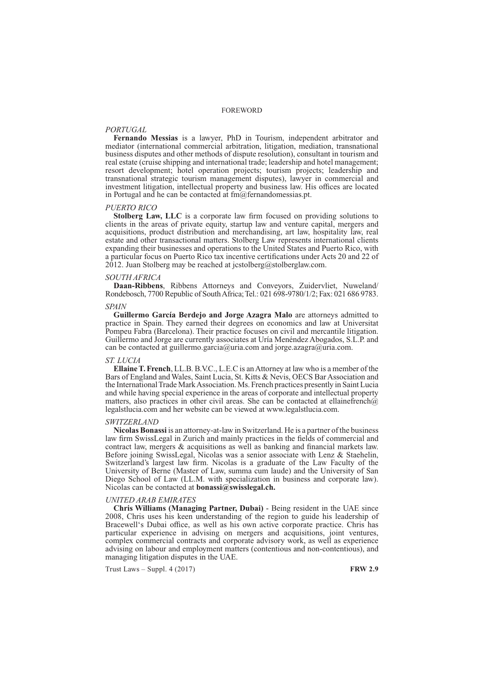#### *PORTUGAL*

**Fernando Messias** is a lawyer, PhD in Tourism, independent arbitrator and mediator (international commercial arbitration, litigation, mediation, transnational business disputes and other methods of dispute resolution), consultant in tourism and real estate (cruise shipping and international trade; leadership and hotel management; resort development; hotel operation projects; tourism projects; leadership and transnational strategic tourism management disputes), lawyer in commercial and investment litigation, intellectual property and business law. His offices are located in Portugal and he can be contacted at  $\text{fm}(\widehat{\omega})$  fernandomessias.pt.

# *PUERTO RICO*

**Stolberg Law, LLC** is a corporate law firm focused on providing solutions to clients in the areas of private equity, startup law and venture capital, mergers and acquisitions, product distribution and merchandising, art law, hospitality law, real estate and other transactional matters. Stolberg Law represents international clients expanding their businesses and operations to the United States and Puerto Rico, with a particular focus on Puerto Rico tax incentive certifications under Acts 20 and 22 of  $2012$ . Juan Stolberg may be reached at jcstolberg@stolberglaw.com.

#### *SOUTH AFRICA*

**Daan-Ribbens**, Ribbens Attorneys and Conveyors, Zuidervliet, Nuweland/ Rondebosch, 7700 Republic of South Africa; Tel.: 021 698-9780/1/2; Fax: 021 686 9783.

## *SPAIN*

**Guillermo García Berdejo and Jorge Azagra Malo** are attorneys admitted to practice in Spain. They earned their degrees on economics and law at Universitat Pompeu Fabra (Barcelona). Their practice focuses on civil and mercantile litigation. Guillermo and Jorge are currently associates at Uría Menéndez Abogados, S.L.P. and can be contacted at guillermo.garcia@uria.com and jorge.azagra@uria.com.

### *ST. LUCIA*

**Ellaine T. French**, LL.B. B.V.C., L.E.C is an Attorney at law who is a member of the Bars of England and Wales, Saint Lucia, St. Kitts & Nevis, OECS Bar Association and the International Trade Mark Association. Ms. French practices presently in Saint Lucia and while having special experience in the areas of corporate and intellectual property matters, also practices in other civil areas. She can be contacted at ellainefrench $\hat{a}$ legalstlucia.com and her website can be viewed at www.legalstlucia.com.

#### *SWITZERLAND*

**Nicolas Bonassi** is an attorney-at-law in Switzerland. He is a partner of the business law firm SwissLegal in Zurich and mainly practices in the fields of commercial and contract law, mergers & acquisitions as well as banking and financial markets law. Before joining SwissLegal, Nicolas was a senior associate with Lenz & Staehelin, Switzerland's largest law firm. Nicolas is a graduate of the Law Faculty of the University of Berne (Master of Law, summa cum laude) and the University of San Diego School of Law (LL.M. with specialization in business and corporate law). Nicolas can be contacted at **bonassi@swisslegal.ch.** 

# *UNITED ARAB EMIRATES*

**Chris Williams (Managing Partner, Dubai)** - Being resident in the UAE since 2008, Chris uses his keen understanding of the region to guide his leadership of Bracewell's Dubai office, as well as his own active corporate practice. Chris has particular experience in advising on mergers and acquisitions, joint ventures, complex commercial contracts and corporate advisory work, as well as experience advising on labour and employment matters (contentious and non-contentious), and managing litigation disputes in the UAE.

Trust Laws – Suppl. 4 (2017) **FRW 2.9**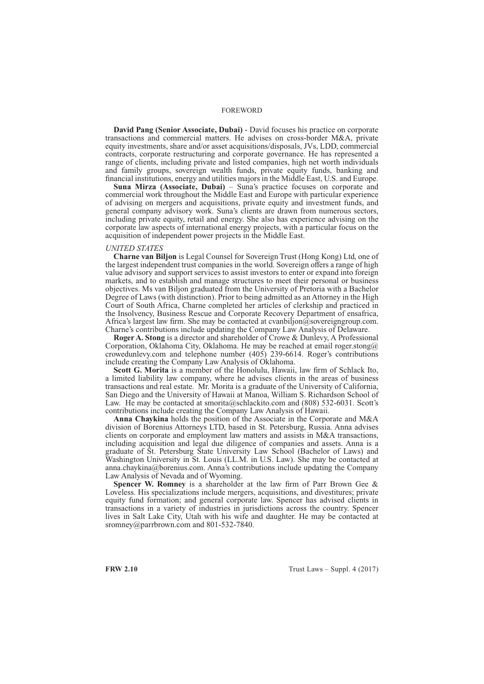**David Pang (Senior Associate, Dubai)** - David focuses his practice on corporate transactions and commercial matters. He advises on cross-border M&A, private equity investments, share and/or asset acquisitions/disposals, JVs, LDD, commercial contracts, corporate restructuring and corporate governance. He has represented a range of clients, including private and listed companies, high net worth individuals and family groups, sovereign wealth funds, private equity funds, banking and financial institutions, energy and utilities majors in the Middle East, U.S. and Europe.

**Suna Mirza (Associate, Dubai)** – Suna's practice focuses on corporate and commercial work throughout the Middle East and Europe with particular experience of advising on mergers and acquisitions, private equity and investment funds, and general company advisory work. Suna's clients are drawn from numerous sectors, including private equity, retail and energy. She also has experience advising on the corporate law aspects of international energy projects, with a particular focus on the acquisition of independent power projects in the Middle East.

#### *UNITED STATES*

**Charne van Biljon** is Legal Counsel for Sovereign Trust (Hong Kong) Ltd, one of the largest independent trust companies in the world. Sovereign offers a range of high value advisory and support services to assist investors to enter or expand into foreign markets, and to establish and manage structures to meet their personal or business objectives. Ms van Biljon graduated from the University of Pretoria with a Bachelor Degree of Laws (with distinction). Prior to being admitted as an Attorney in the High Court of South Africa, Charne completed her articles of clerkship and practiced in the Insolvency, Business Rescue and Corporate Recovery Department of ensafrica, Africa's largest law firm. She may be contacted at cvanbiljon $@s$ overeigngroup.com. Charne's contributions include updating the Company Law Analysis of Delaware.

**Roger A. Stong** is a director and shareholder of Crowe & Dunlevy, A Professional Corporation, Oklahoma City, Oklahoma. He may be reached at email roger.stong@ crowedunlevy.com and telephone number (405) 239-6614. Roger's contributions include creating the Company Law Analysis of Oklahoma.

**Scott G. Morita** is a member of the Honolulu, Hawaii, law firm of Schlack Ito, a limited liability law company, where he advises clients in the areas of business transactions and real estate. Mr. Morita is a graduate of the University of California, San Diego and the University of Hawaii at Manoa, William S. Richardson School of Law. He may be contacted at smorita@schlackito.com and (808) 532-6031. Scott's contributions include creating the Company Law Analysis of Hawaii.

**Anna Chaykina** holds the position of the Associate in the Corporate and M&A division of Borenius Attorneys LTD, based in St. Petersburg, Russia. Anna advises clients on corporate and employment law matters and assists in M&A transactions, including acquisition and legal due diligence of companies and assets. Anna is a graduate of St. Petersburg State University Law School (Bachelor of Laws) and Washington University in St. Louis (LL.M. in U.S. Law). She may be contacted at anna.chaykina@borenius.com. Anna's contributions include updating the Company Law Analysis of Nevada and of Wyoming.

**Spencer W. Romney** is a shareholder at the law firm of Parr Brown Gee & Loveless. His specializations include mergers, acquisitions, and divestitures; private equity fund formation; and general corporate law. Spencer has advised clients in transactions in a variety of industries in jurisdictions across the country. Spencer lives in Salt Lake City, Utah with his wife and daughter. He may be contacted at sromney@parrbrown.com and 801-532-7840.

**FRW 2.10** Trust Laws – Suppl. 4 (2017)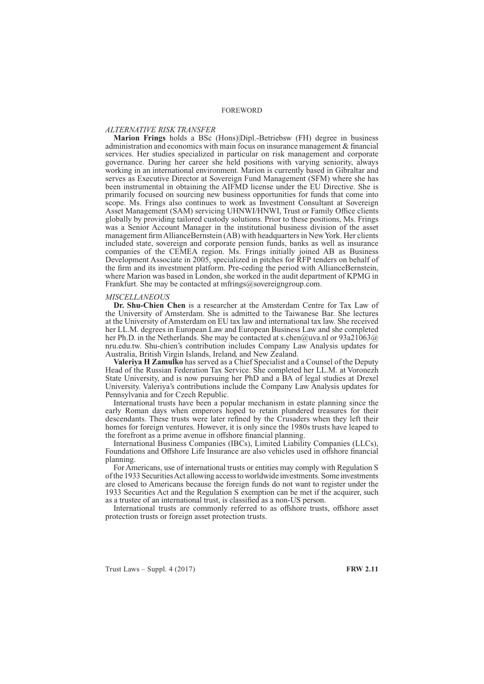#### *ALTERNATIVE RISK TRANSFER*

**Marion Frings** holds a BSc (Hons)|Dipl.-Betriebsw (FH) degree in business administration and economics with main focus on insurance management & financial services. Her studies specialized in particular on risk management and corporate governance. During her career she held positions with varying seniority, always working in an international environment. Marion is currently based in Gibraltar and serves as Executive Director at Sovereign Fund Management (SFM) where she has been instrumental in obtaining the AIFMD license under the EU Directive. She is primarily focused on sourcing new business opportunities for funds that come into scope. Ms. Frings also continues to work as Investment Consultant at Sovereign Asset Management (SAM) servicing UHNWI/HNWI, Trust or Family Office clients globally by providing tailored custody solutions. Prior to these positions, Ms. Frings was a Senior Account Manager in the institutional business division of the asset management firm AllianceBernstein (AB) with headquarters in New York. Her clients included state, sovereign and corporate pension funds, banks as well as insurance companies of the CEMEA region. Ms. Frings initially joined AB as Business Development Associate in 2005, specialized in pitches for RFP tenders on behalf of the firm and its investment platform. Pre-ceding the period with AllianceBernstein, where Marion was based in London, she worked in the audit department of KPMG in Frankfurt. She may be contacted at mfrings@sovereigngroup.com.

#### *MISCELLANEOUS*

**Dr. Shu-Chien Chen** is a researcher at the Amsterdam Centre for Tax Law of the University of Amsterdam. She is admitted to the Taiwanese Bar. She lectures at the University of Amsterdam on EU tax law and international tax law. She received her LL.M. degrees in European Law and European Business Law and she completed her Ph.D. in the Netherlands. She may be contacted at s.chen@uva.nl or  $93a21063@$ nru.edu.tw. Shu-chien's contribution includes Company Law Analysis updates for Australia, British Virgin Islands, Ireland, and New Zealand.

**Valeriya H Zamulko** has served as a Chief Specialist and a Counsel of the Deputy Head of the Russian Federation Tax Service. She completed her LL.M. at Voronezh State University, and is now pursuing her PhD and a BA of legal studies at Drexel University. Valeriya's contributions include the Company Law Analysis updates for Pennsylvania and for Czech Republic.

International trusts have been a popular mechanism in estate planning since the early Roman days when emperors hoped to retain plundered treasures for their descendants. These trusts were later refined by the Crusaders when they left their homes for foreign ventures. However, it is only since the 1980s trusts have leaped to the forefront as a prime avenue in offshore financial planning.

International Business Companies (IBCs), Limited Liability Companies (LLCs), Foundations and Offshore Life Insurance are also vehicles used in offshore financial planning.

For Americans, use of international trusts or entities may comply with Regulation S of the 1933 Securities Act allowing access to worldwide investments. Some investments are closed to Americans because the foreign funds do not want to register under the 1933 Securities Act and the Regulation S exemption can be met if the acquirer, such as a trustee of an international trust, is classified as a non-US person.

International trusts are commonly referred to as offshore trusts, offshore asset protection trusts or foreign asset protection trusts.

Trust Laws – Suppl. 4 (2017) **FRW 2.11**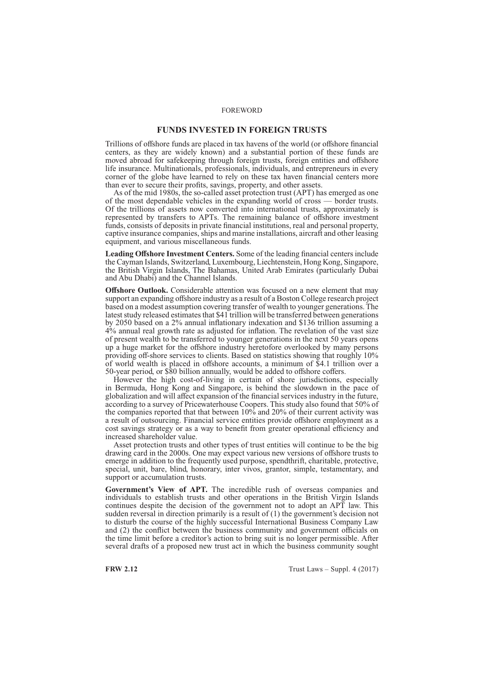# **FUNDS INVESTED IN FOREIGN TRUSTS**

Trillions of offshore funds are placed in tax havens of the world (or offshore financial centers, as they are widely known) and a substantial portion of these funds are moved abroad for safekeeping through foreign trusts, foreign entities and offshore life insurance. Multinationals, professionals, individuals, and entrepreneurs in every corner of the globe have learned to rely on these tax haven financial centers more than ever to secure their profits, savings, property, and other assets.

As of the mid 1980s, the so-called asset protection trust (APT) has emerged as one of the most dependable vehicles in the expanding world of cross — border trusts. Of the trillions of assets now converted into international trusts, approximately is represented by transfers to APTs. The remaining balance of offshore investment funds, consists of deposits in private financial institutions, real and personal property, captive insurance companies, ships and marine installations, aircraft and other leasing equipment, and various miscellaneous funds.

**Leading Offshore Investment Centers.** Some of the leading financial centers include the Cayman Islands, Switzerland, Luxembourg, Liechtenstein, Hong Kong, Singapore, the British Virgin Islands, The Bahamas, United Arab Emirates (particularly Dubai and Abu Dhabi) and the Channel Islands.

**Offshore Outlook.** Considerable attention was focused on a new element that may support an expanding offshore industry as a result of a Boston College research project based on a modest assumption covering transfer of wealth to younger generations. The latest study released estimates that \$41 trillion will be transferred between generations by 2050 based on a 2% annual inflationary indexation and \$136 trillion assuming a 4% annual real growth rate as adjusted for inflation. The revelation of the vast size of present wealth to be transferred to younger generations in the next 50 years opens up a huge market for the offshore industry heretofore overlooked by many persons providing off-shore services to clients. Based on statistics showing that roughly 10% of world wealth is placed in offshore accounts, a minimum of \$4.1 trillion over a 50-year period, or \$80 billion annually, would be added to offshore coffers.

However the high cost-of-living in certain of shore jurisdictions, especially in Bermuda, Hong Kong and Singapore, is behind the slowdown in the pace of globalization and will affect expansion of the financial services industry in the future, according to a survey of Pricewaterhouse Coopers. This study also found that 50% of the companies reported that that between  $10\%$  and  $20\%$  of their current activity was a result of outsourcing. Financial service entities provide offshore employment as a cost savings strategy or as a way to benefit from greater operational efficiency and increased shareholder value.

Asset protection trusts and other types of trust entities will continue to be the big drawing card in the 2000s. One may expect various new versions of offshore trusts to emerge in addition to the frequently used purpose, spendthrift, charitable, protective, special, unit, bare, blind, honorary, inter vivos, grantor, simple, testamentary, and support or accumulation trusts.

**Government's View of APT.** The incredible rush of overseas companies and individuals to establish trusts and other operations in the British Virgin Islands continues despite the decision of the government not to adopt an APT law. This sudden reversal in direction primarily is a result of (1) the government's decision not to disturb the course of the highly successful International Business Company Law and (2) the conflict between the business community and government officials on the time limit before a creditor's action to bring suit is no longer permissible. After several drafts of a proposed new trust act in which the business community sought

**FRW 2.12** Trust Laws – Suppl. 4 (2017)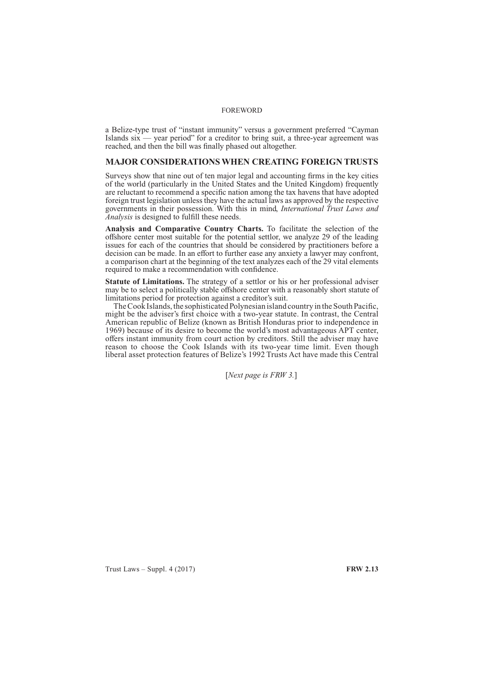a Belize-type trust of "instant immunity" versus a government preferred "Cayman Islands six — year period" for a creditor to bring suit, a three-year agreement was reached, and then the bill was finally phased out altogether.

# **MAJOR CONSIDERATIONS WHEN CREATING FOREIGN TRUSTS**

Surveys show that nine out of ten major legal and accounting firms in the key cities of the world (particularly in the United States and the United Kingdom) frequently are reluctant to recommend a specific nation among the tax havens that have adopted foreign trust legislation unless they have the actual laws as approved by the respective governments in their possession. With this in mind, *International Trust Laws and Analysis* is designed to fulfill these needs.

**Analysis and Comparative Country Charts.** To facilitate the selection of the offshore center most suitable for the potential settlor, we analyze 29 of the leading issues for each of the countries that should be considered by practitioners before a decision can be made. In an effort to further ease any anxiety a lawyer may confront, a comparison chart at the beginning of the text analyzes each of the 29 vital elements required to make a recommendation with confidence.

**Statute of Limitations.** The strategy of a settlor or his or her professional adviser may be to select a politically stable offshore center with a reasonably short statute of limitations period for protection against a creditor's suit.

The Cook Islands, the sophisticated Polynesian island country in the South Pacific, might be the adviser's first choice with a two-year statute. In contrast, the Central American republic of Belize (known as British Honduras prior to independence in 1969) because of its desire to become the world's most advantageous APT center, offers instant immunity from court action by creditors. Still the adviser may have reason to choose the Cook Islands with its two-year time limit. Even though liberal asset protection features of Belize's 1992 Trusts Act have made this Central

[*Next page is FRW 3.*]

Trust Laws – Suppl. 4 (2017) **FRW 2.13**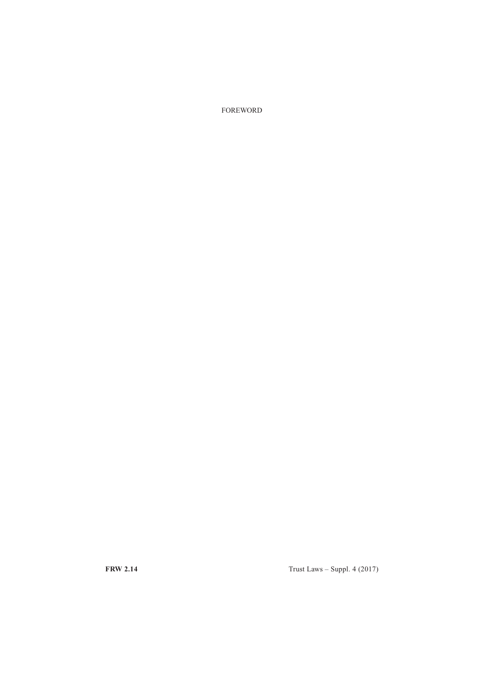**FRW 2.14** Trust Laws – Suppl. 4 (2017)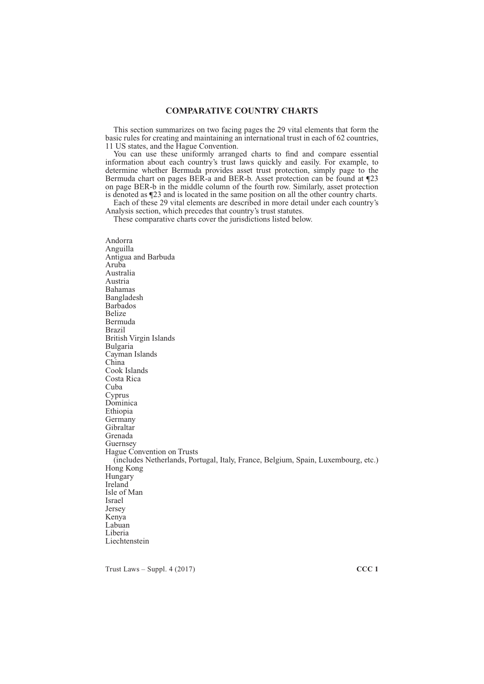This section summarizes on two facing pages the 29 vital elements that form the basic rules for creating and maintaining an international trust in each of 62 countries, 11 US states, and the Hague Convention.

You can use these uniformly arranged charts to find and compare essential information about each country's trust laws quickly and easily. For example, to determine whether Bermuda provides asset trust protection, simply page to the Bermuda chart on pages BER-a and BER-b. Asset protection can be found at **¶**23 on page BER-b in the middle column of the fourth row. Similarly, asset protection is denoted as **¶**23 and is located in the same position on all the other country charts.

Each of these 29 vital elements are described in more detail under each country's Analysis section, which precedes that country's trust statutes.

These comparative charts cover the jurisdictions listed below.

Andorra Anguilla Antigua and Barbuda Aruba Australia Austria Bahamas Bangladesh Barbados Belize Bermuda Brazil British Virgin Islands Bulgaria Cayman Islands China Cook Islands Costa Rica Cuba Cyprus Dominica Ethiopia **Germany Gibraltar** Grenada Guernsey Hague Convention on Trusts (includes Netherlands, Portugal, Italy, France, Belgium, Spain, Luxembourg, etc.) Hong Kong Hungary Ireland Isle of Man Israel Jersey Kenya Labuan Liberia Liechtenstein

Trust Laws – Suppl. 4 (2017) **CCC 1**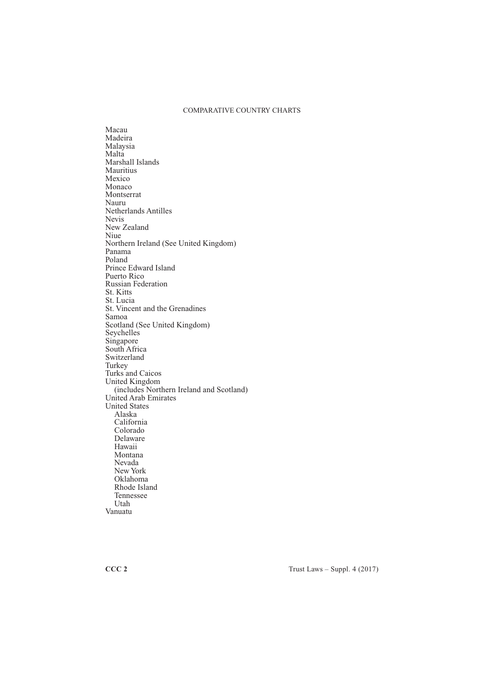Macau Madeira Malaysia Malta Marshall Islands Mauritius Mexico Monaco Montserrat Nauru Netherlands Antilles Nevis New Zealand Niue Northern Ireland (See United Kingdom) Panama Poland Prince Edward Island Puerto Rico Russian Federation St. Kitts St. Lucia St. Vincent and the Grenadines Samoa Scotland (See United Kingdom) Seychelles Singapore South Africa Switzerland Turkey Turks and Caicos United Kingdom (includes Northern Ireland and Scotland) United Arab Emirates United States Alaska California Colorado Delaware Hawaii Montana Nevada New York Oklahoma Rhode Island Tennessee Utah Vanuatu

**CCC 2** Trust Laws – Suppl. 4 (2017)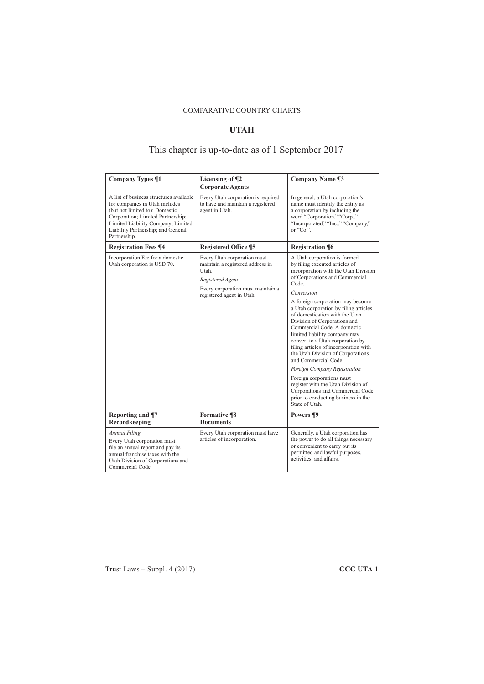# **UTAH**

# This chapter is up-to-date as of 1 September 2017

| <b>Company Types ¶1</b>                                                                                                                                                                                                                      | Licensing of ¶2<br><b>Corporate Agents</b>                                                                                                                     | Company Name ¶3                                                                                                                                                                                                                                                                                                                                                                                                                                                                                                                                                                                                                                                                                                          |
|----------------------------------------------------------------------------------------------------------------------------------------------------------------------------------------------------------------------------------------------|----------------------------------------------------------------------------------------------------------------------------------------------------------------|--------------------------------------------------------------------------------------------------------------------------------------------------------------------------------------------------------------------------------------------------------------------------------------------------------------------------------------------------------------------------------------------------------------------------------------------------------------------------------------------------------------------------------------------------------------------------------------------------------------------------------------------------------------------------------------------------------------------------|
| A list of business structures available<br>for companies in Utah includes<br>(but not limited to): Domestic<br>Corporation; Limited Partnership;<br>Limited Liability Company; Limited<br>Liability Partnership; and General<br>Partnership. | Every Utah corporation is required<br>to have and maintain a registered<br>agent in Utah.                                                                      | In general, a Utah corporation's<br>name must identify the entity as<br>a corporation by including the<br>word "Corporation," "Corp.,"<br>"Incorporated," "Inc.," "Company,"<br>or " $Co$ ".                                                                                                                                                                                                                                                                                                                                                                                                                                                                                                                             |
| <b>Registration Fees ¶4</b>                                                                                                                                                                                                                  | <b>Registered Office ¶5</b>                                                                                                                                    | <b>Registration ¶6</b>                                                                                                                                                                                                                                                                                                                                                                                                                                                                                                                                                                                                                                                                                                   |
| Incorporation Fee for a domestic<br>Utah corporation is USD 70.                                                                                                                                                                              | Every Utah corporation must<br>maintain a registered address in<br>Utah.<br>Registered Agent<br>Every corporation must maintain a<br>registered agent in Utah. | A Utah corporation is formed<br>by filing executed articles of<br>incorporation with the Utah Division<br>of Corporations and Commercial<br>Code.<br>Conversion<br>A foreign corporation may become<br>a Utah corporation by filing articles<br>of domestication with the Utah<br>Division of Corporations and<br>Commercial Code. A domestic<br>limited liability company may<br>convert to a Utah corporation by<br>filing articles of incorporation with<br>the Utah Division of Corporations<br>and Commercial Code.<br>Foreign Company Registration<br>Foreign corporations must<br>register with the Utah Division of<br>Corporations and Commercial Code<br>prior to conducting business in the<br>State of Utah. |
| Reporting and ¶7<br>Recordkeeping                                                                                                                                                                                                            | Formative ¶8<br><b>Documents</b>                                                                                                                               | Powers ¶9                                                                                                                                                                                                                                                                                                                                                                                                                                                                                                                                                                                                                                                                                                                |
| <b>Annual Filing</b><br>Every Utah corporation must<br>file an annual report and pay its<br>annual franchise taxes with the<br>Utah Division of Corporations and<br>Commercial Code.                                                         | Every Utah corporation must have<br>articles of incorporation.                                                                                                 | Generally, a Utah corporation has<br>the power to do all things necessary<br>or convenient to carry out its<br>permitted and lawful purposes,<br>activities, and affairs.                                                                                                                                                                                                                                                                                                                                                                                                                                                                                                                                                |

Trust Laws – Suppl. 4 (2017) **CCC UTA 1**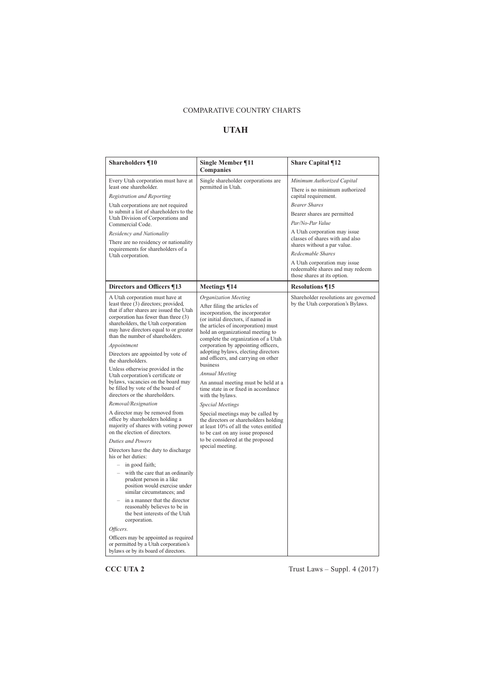# **UTAH**

| Shareholders ¶10                                                                                                                                                                                                                                                                                                                                                                                                                                                                                                                                                                                                                                                                                                                                                                                                                                                                                                                                                                                                                                                                                                                                                                                                       | <b>Single Member ¶11</b><br>Companies                                                                                                                                                                                                                                                                                                                                                                                                                                                                                                                                                                                                                                                                                                                               | Share Capital ¶12                                                                               |
|------------------------------------------------------------------------------------------------------------------------------------------------------------------------------------------------------------------------------------------------------------------------------------------------------------------------------------------------------------------------------------------------------------------------------------------------------------------------------------------------------------------------------------------------------------------------------------------------------------------------------------------------------------------------------------------------------------------------------------------------------------------------------------------------------------------------------------------------------------------------------------------------------------------------------------------------------------------------------------------------------------------------------------------------------------------------------------------------------------------------------------------------------------------------------------------------------------------------|---------------------------------------------------------------------------------------------------------------------------------------------------------------------------------------------------------------------------------------------------------------------------------------------------------------------------------------------------------------------------------------------------------------------------------------------------------------------------------------------------------------------------------------------------------------------------------------------------------------------------------------------------------------------------------------------------------------------------------------------------------------------|-------------------------------------------------------------------------------------------------|
| Every Utah corporation must have at<br>least one shareholder.                                                                                                                                                                                                                                                                                                                                                                                                                                                                                                                                                                                                                                                                                                                                                                                                                                                                                                                                                                                                                                                                                                                                                          | Single shareholder corporations are<br>permitted in Utah.                                                                                                                                                                                                                                                                                                                                                                                                                                                                                                                                                                                                                                                                                                           | Minimum Authorized Capital<br>There is no minimum authorized                                    |
| Registration and Reporting                                                                                                                                                                                                                                                                                                                                                                                                                                                                                                                                                                                                                                                                                                                                                                                                                                                                                                                                                                                                                                                                                                                                                                                             |                                                                                                                                                                                                                                                                                                                                                                                                                                                                                                                                                                                                                                                                                                                                                                     | capital requirement.                                                                            |
| Utah corporations are not required<br>to submit a list of shareholders to the                                                                                                                                                                                                                                                                                                                                                                                                                                                                                                                                                                                                                                                                                                                                                                                                                                                                                                                                                                                                                                                                                                                                          |                                                                                                                                                                                                                                                                                                                                                                                                                                                                                                                                                                                                                                                                                                                                                                     | <b>Bearer Shares</b>                                                                            |
| Utah Division of Corporations and                                                                                                                                                                                                                                                                                                                                                                                                                                                                                                                                                                                                                                                                                                                                                                                                                                                                                                                                                                                                                                                                                                                                                                                      |                                                                                                                                                                                                                                                                                                                                                                                                                                                                                                                                                                                                                                                                                                                                                                     | Bearer shares are permitted                                                                     |
| Commercial Code.                                                                                                                                                                                                                                                                                                                                                                                                                                                                                                                                                                                                                                                                                                                                                                                                                                                                                                                                                                                                                                                                                                                                                                                                       |                                                                                                                                                                                                                                                                                                                                                                                                                                                                                                                                                                                                                                                                                                                                                                     | Par/No-Par Value                                                                                |
| Residency and Nationality                                                                                                                                                                                                                                                                                                                                                                                                                                                                                                                                                                                                                                                                                                                                                                                                                                                                                                                                                                                                                                                                                                                                                                                              |                                                                                                                                                                                                                                                                                                                                                                                                                                                                                                                                                                                                                                                                                                                                                                     | A Utah corporation may issue<br>classes of shares with and also                                 |
| There are no residency or nationality<br>requirements for shareholders of a                                                                                                                                                                                                                                                                                                                                                                                                                                                                                                                                                                                                                                                                                                                                                                                                                                                                                                                                                                                                                                                                                                                                            |                                                                                                                                                                                                                                                                                                                                                                                                                                                                                                                                                                                                                                                                                                                                                                     | shares without a par value.                                                                     |
| Utah corporation.                                                                                                                                                                                                                                                                                                                                                                                                                                                                                                                                                                                                                                                                                                                                                                                                                                                                                                                                                                                                                                                                                                                                                                                                      |                                                                                                                                                                                                                                                                                                                                                                                                                                                                                                                                                                                                                                                                                                                                                                     | Redeemable Shares                                                                               |
|                                                                                                                                                                                                                                                                                                                                                                                                                                                                                                                                                                                                                                                                                                                                                                                                                                                                                                                                                                                                                                                                                                                                                                                                                        |                                                                                                                                                                                                                                                                                                                                                                                                                                                                                                                                                                                                                                                                                                                                                                     | A Utah corporation may issue<br>redeemable shares and may redeem<br>those shares at its option. |
| Directors and Officers ¶13                                                                                                                                                                                                                                                                                                                                                                                                                                                                                                                                                                                                                                                                                                                                                                                                                                                                                                                                                                                                                                                                                                                                                                                             | Meetings ¶14                                                                                                                                                                                                                                                                                                                                                                                                                                                                                                                                                                                                                                                                                                                                                        | <b>Resolutions</b> 15                                                                           |
| A Utah corporation must have at<br>least three (3) directors; provided,<br>that if after shares are issued the Utah<br>corporation has fewer than three (3)<br>shareholders, the Utah corporation<br>may have directors equal to or greater<br>than the number of shareholders.<br>Appointment<br>Directors are appointed by vote of<br>the shareholders.<br>Unless otherwise provided in the<br>Utah corporation's certificate or<br>bylaws, vacancies on the board may<br>be filled by vote of the board of<br>directors or the shareholders.<br>Removal/Resignation<br>A director may be removed from<br>office by shareholders holding a<br>majority of shares with voting power<br>on the election of directors.<br>Duties and Powers<br>Directors have the duty to discharge<br>his or her duties:<br>$-$ in good faith;<br>with the care that an ordinarily<br>prudent person in a like<br>position would exercise under<br>similar circumstances: and<br>in a manner that the director<br>reasonably believes to be in<br>the best interests of the Utah<br>corporation.<br>Officers.<br>Officers may be appointed as required<br>or permitted by a Utah corporation's<br>bylaws or by its board of directors. | <b>Organization Meeting</b><br>After filing the articles of<br>incorporation, the incorporator<br>(or initial directors, if named in<br>the articles of incorporation) must<br>hold an organizational meeting to<br>complete the organization of a Utah<br>corporation by appointing officers,<br>adopting bylaws, electing directors<br>and officers, and carrying on other<br>business<br><b>Annual Meeting</b><br>An annual meeting must be held at a<br>time state in or fixed in accordance<br>with the bylaws.<br><b>Special Meetings</b><br>Special meetings may be called by<br>the directors or shareholders holding<br>at least 10% of all the votes entitled<br>to be cast on any issue proposed<br>to be considered at the proposed<br>special meeting. | Shareholder resolutions are governed<br>by the Utah corporation's Bylaws.                       |

**CCC UTA 2** Trust Laws – Suppl. 4 (2017)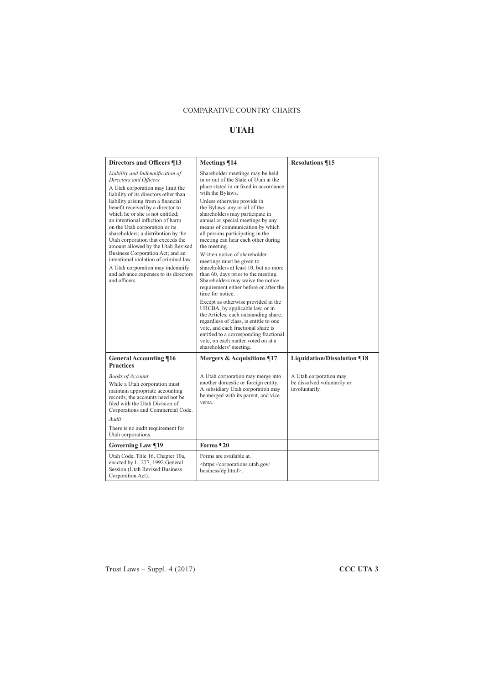# **UTAH**

| Directors and Officers ¶13                                                                                                                                                                                                                                                                                                                                                                                                                                                                                                                                                                                                  | Meetings ¶14                                                                                                                                                                                                                                                                                                                                                                                                                                                                                                                                                                                                                                                                                                                                                                                                                                                                                                                                                               | <b>Resolutions ¶15</b>                                                  |
|-----------------------------------------------------------------------------------------------------------------------------------------------------------------------------------------------------------------------------------------------------------------------------------------------------------------------------------------------------------------------------------------------------------------------------------------------------------------------------------------------------------------------------------------------------------------------------------------------------------------------------|----------------------------------------------------------------------------------------------------------------------------------------------------------------------------------------------------------------------------------------------------------------------------------------------------------------------------------------------------------------------------------------------------------------------------------------------------------------------------------------------------------------------------------------------------------------------------------------------------------------------------------------------------------------------------------------------------------------------------------------------------------------------------------------------------------------------------------------------------------------------------------------------------------------------------------------------------------------------------|-------------------------------------------------------------------------|
| Liability and Indemnification of<br>Directors and Officers<br>A Utah corporation may limit the<br>liability of its directors other than<br>liability arising from a financial<br>benefit received by a director to<br>which he or she is not entitled:<br>an intentional infliction of harm<br>on the Utah corporation or its<br>shareholders; a distribution by the<br>Utah corporation that exceeds the<br>amount allowed by the Utah Revised<br>Business Corporation Act; and an<br>intentional violation of criminal law.<br>A Utah corporation may indemnify<br>and advance expenses to its directors<br>and officers. | Shareholder meetings may be held<br>in or out of the State of Utah at the<br>place stated in or fixed in accordance<br>with the Bylaws.<br>Unless otherwise provide in<br>the Bylaws, any or all of the<br>shareholders may participate in<br>annual or special meetings by any<br>means of communication by which<br>all persons participating in the<br>meeting can hear each other during<br>the meeting.<br>Written notice of shareholder<br>meetings must be given to<br>shareholders at least 10, but no more<br>than 60, days prior to the meeting.<br>Shareholders may waive the notice<br>requirement either before or after the<br>time for notice.<br>Except as otherwise provided in the<br>URCBA, by applicable law, or in<br>the Articles, each outstanding share,<br>regardless of class, is entitle to one<br>vote, and each fractional share is<br>entitled to a corresponding fractional<br>vote, on each matter voted on at a<br>shareholders' meeting. |                                                                         |
| <b>General Accounting ¶16</b><br><b>Practices</b>                                                                                                                                                                                                                                                                                                                                                                                                                                                                                                                                                                           | Mergers & Acquisitions ¶17                                                                                                                                                                                                                                                                                                                                                                                                                                                                                                                                                                                                                                                                                                                                                                                                                                                                                                                                                 | <b>Liquidation/Dissolution ¶18</b>                                      |
| <b>Books</b> of Account<br>While a Utah corporation must<br>maintain appropriate accounting<br>records, the accounts need not be<br>filed with the Utah Division of<br>Corporations and Commercial Code.<br>Audit<br>There is no audit requirement for<br>Utah corporations.                                                                                                                                                                                                                                                                                                                                                | A Utah corporation may merge into<br>another domestic or foreign entity.<br>A subsidiary Utah corporation may<br>be merged with its parent, and vice<br>versa.                                                                                                                                                                                                                                                                                                                                                                                                                                                                                                                                                                                                                                                                                                                                                                                                             | A Utah corporation may<br>be dissolved voluntarily or<br>involuntarily. |
| Governing Law ¶19                                                                                                                                                                                                                                                                                                                                                                                                                                                                                                                                                                                                           | Forms ¶20                                                                                                                                                                                                                                                                                                                                                                                                                                                                                                                                                                                                                                                                                                                                                                                                                                                                                                                                                                  |                                                                         |
| Utah Code, Title 16, Chapter 10a,<br>enacted by L. 277, 1992 General<br>Session (Utah Revised Business<br>Corporation Act).                                                                                                                                                                                                                                                                                                                                                                                                                                                                                                 | Forms are available at.<br><https: <br="" corporations.utah.gov="">business/dp.html&gt;.</https:>                                                                                                                                                                                                                                                                                                                                                                                                                                                                                                                                                                                                                                                                                                                                                                                                                                                                          |                                                                         |

Trust Laws – Suppl. 4 (2017) **CCC UTA 3**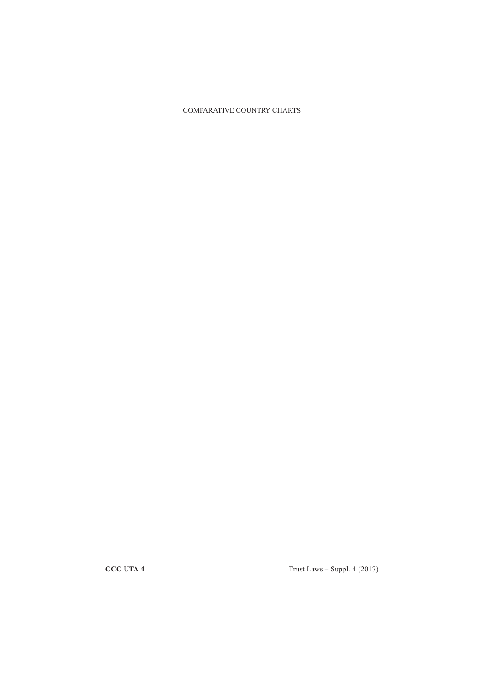**CCC UTA 4** Trust Laws – Suppl. 4 (2017)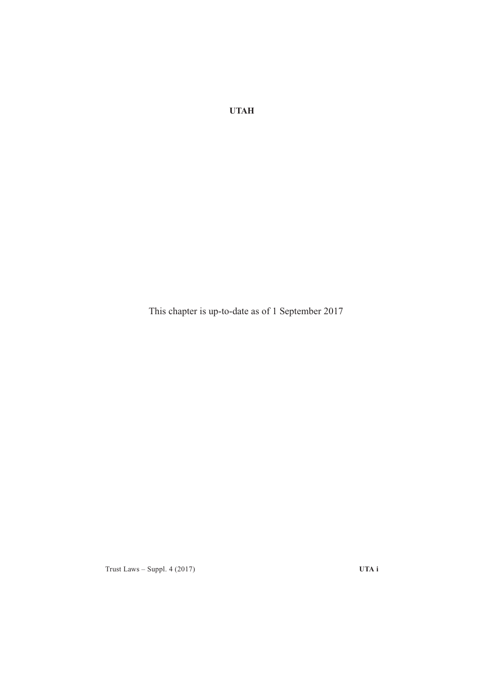This chapter is up-to-date as of 1 September 2017

Trust Laws – Suppl. 4 (2017) **UTA i**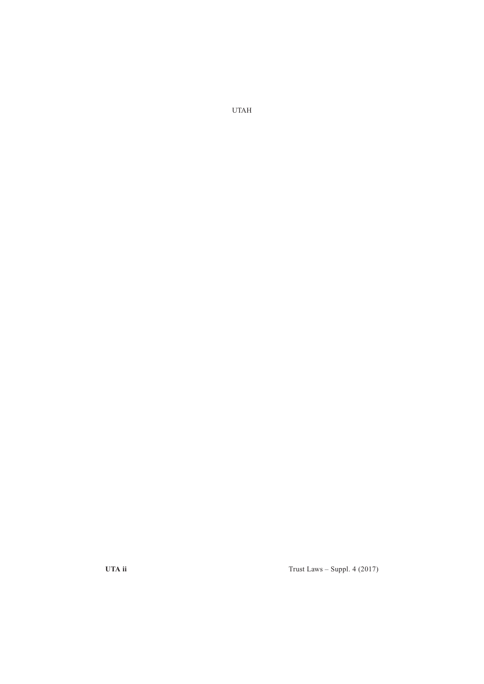**UTA ii** Trust Laws – Suppl. 4 (2017)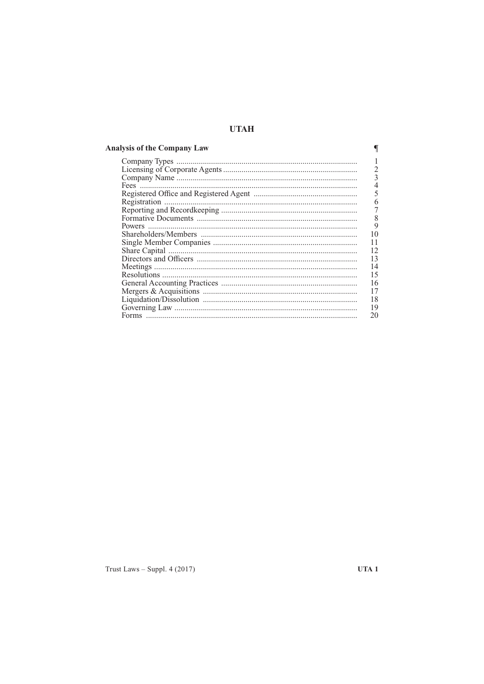| <b>Analysis of the Company Law</b> |                |  |
|------------------------------------|----------------|--|
|                                    |                |  |
|                                    | 2              |  |
|                                    | $\overline{3}$ |  |
|                                    |                |  |
|                                    | 5              |  |
|                                    |                |  |
|                                    |                |  |
|                                    | 8              |  |
|                                    | 9              |  |
|                                    | 10             |  |
|                                    | 11             |  |
|                                    | 12             |  |
|                                    | 13             |  |
|                                    | 14             |  |
|                                    | 15             |  |
|                                    | 16             |  |
|                                    | 17             |  |
|                                    | 18             |  |
|                                    | 19             |  |
|                                    | 20             |  |

Trust Laws - Suppl. 4 (2017)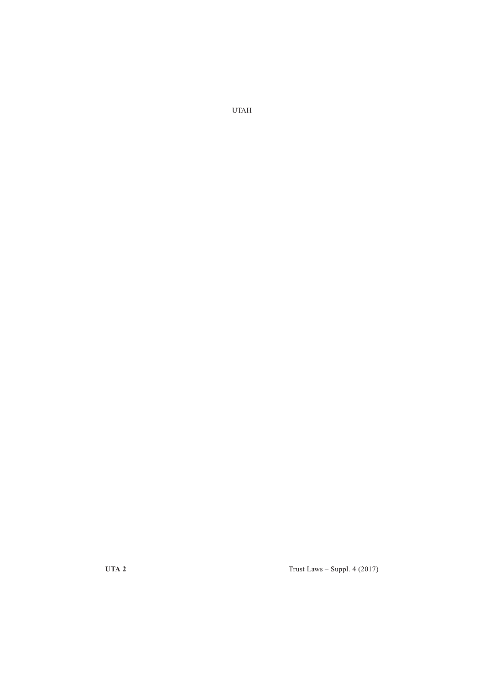**UTA 2** Trust Laws – Suppl. 4 (2017)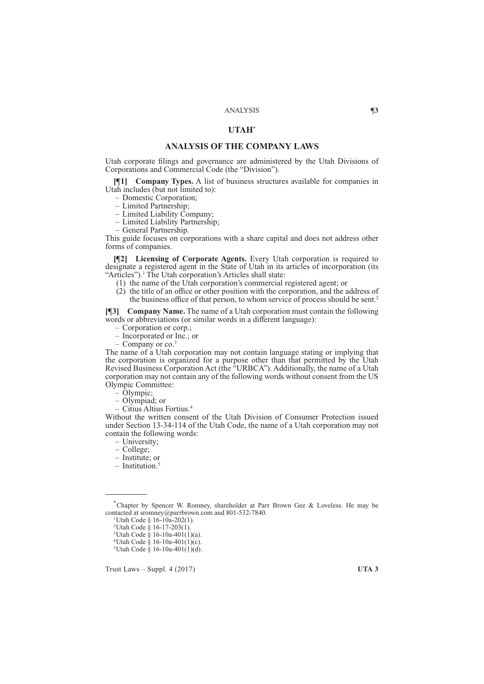# ANALYSIS **¶3**

# **UTAH\***

# **ANALYSIS OF THE COMPANY LAWS**

Utah corporate filings and governance are administered by the Utah Divisions of Corporations and Commercial Code (the "Division").

**[¶1] Company Types.** A list of business structures available for companies in Utah includes (but not limited to): – Domestic Corporation;

- 
- Limited Partnership;
- Limited Liability Company;
- Limited Liability Partnership;
- General Partnership.

This guide focuses on corporations with a share capital and does not address other forms of companies.

**[¶2] Licensing of Corporate Agents.** Every Utah corporation is required to designate a registered agent in the State of Utah in its articles of incorporation (its "Articles").<sup>1</sup> The Utah corporation's Articles shall state:

- (1) the name of the Utah corporation's commercial registered agent; or
- (2) the title of an office or other position with the corporation, and the address of the business office of that person, to whom service of process should be sent.<sup>2</sup>

**[¶3] Company Name.** The name of a Utah corporation must contain the following words or abbreviations (or similar words in a different language):

- Corporation or corp.;
- Incorporated or Inc.; or
- Company or  $\cos^3$

The name of a Utah corporation may not contain language stating or implying that the corporation is organized for a purpose other than that permitted by the Utah Revised Business Corporation Act (the "URBCA"). Additionally, the name of a Utah corporation may not contain any of the following words without consent from the US Olympic Committee:

- Olympic;
- Olympiad; or

– Citius Altius Fortius.4

Without the written consent of the Utah Division of Consumer Protection issued under Section 13-34-114 of the Utah Code, the name of a Utah corporation may not contain the following words:

- University;
- College;
- Institute; or
- $-$  Institution.<sup>5</sup>

**<sup>\*</sup>**Chapter by Spencer W. Romney, shareholder at Parr Brown Gee & Loveless. He may be contacted at sromney@parrbrown.com and 801-532-7840.

<sup>1</sup>Utah Code § 16-10a-202(1).

<sup>2</sup>Utah Code § 16-17-203(1).

<sup>3</sup>Utah Code § 16-10a-401(1)(a).

<sup>4</sup>Utah Code § 16-10a-401(1)(c).

<sup>&</sup>lt;sup>5</sup>Utah Code § 16-10a-401(1)(d).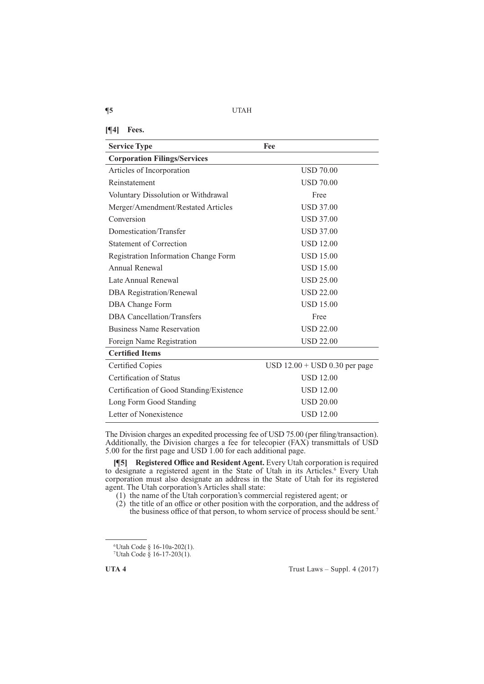| $\P 5$ | <b>UTAH</b> |
|--------|-------------|
|--------|-------------|

| $\P[4]$<br>Fees.                         |                                 |  |
|------------------------------------------|---------------------------------|--|
| <b>Service Type</b>                      | Fee                             |  |
| <b>Corporation Filings/Services</b>      |                                 |  |
| Articles of Incorporation                | <b>USD 70.00</b>                |  |
| Reinstatement                            | <b>USD 70.00</b>                |  |
| Voluntary Dissolution or Withdrawal      | Free                            |  |
| Merger/Amendment/Restated Articles       | <b>USD 37.00</b>                |  |
| Conversion                               | <b>USD 37.00</b>                |  |
| Domestication/Transfer                   | <b>USD 37.00</b>                |  |
| <b>Statement of Correction</b>           | <b>USD 12.00</b>                |  |
| Registration Information Change Form     | <b>USD 15.00</b>                |  |
| Annual Renewal                           | <b>USD 15.00</b>                |  |
| Late Annual Renewal                      | <b>USD 25.00</b>                |  |
| <b>DBA</b> Registration/Renewal          | <b>USD 22.00</b>                |  |
| DBA Change Form                          | <b>USD 15.00</b>                |  |
| <b>DBA</b> Cancellation/Transfers        | Free                            |  |
| <b>Business Name Reservation</b>         | <b>USD 22.00</b>                |  |
| Foreign Name Registration                | <b>USD 22.00</b>                |  |
| <b>Certified Items</b>                   |                                 |  |
| <b>Certified Copies</b>                  | USD $12.00 +$ USD 0.30 per page |  |
| Certification of Status                  | <b>USD 12.00</b>                |  |
| Certification of Good Standing/Existence | <b>USD 12.00</b>                |  |
| Long Form Good Standing                  | <b>USD 20.00</b>                |  |
| Letter of Nonexistence                   | <b>USD 12.00</b>                |  |

The Division charges an expedited processing fee of USD 75.00 (per filing/transaction). Additionally, the Division charges a fee for telecopier (FAX) transmittals of USD 5.00 for the first page and USD 1.00 for each additional page.

**[¶5] Registered Office and Resident Agent.** Every Utah corporation is required to designate a registered agent in the State of Utah in its Articles.<sup>6</sup> Every Utah corporation must also designate an address in the State of Utah for its registered agent. The Utah corporation's Articles shall state:

- (1) the name of the Utah corporation's commercial registered agent; or
- (2) the title of an office or other position with the corporation, and the address of the business office of that person, to whom service of process should be sent.<sup>7</sup>

**UTA 4** Trust Laws – Suppl. 4 (2017)

<sup>6</sup>Utah Code § 16-10a-202(1).

<sup>7</sup>Utah Code § 16-17-203(1).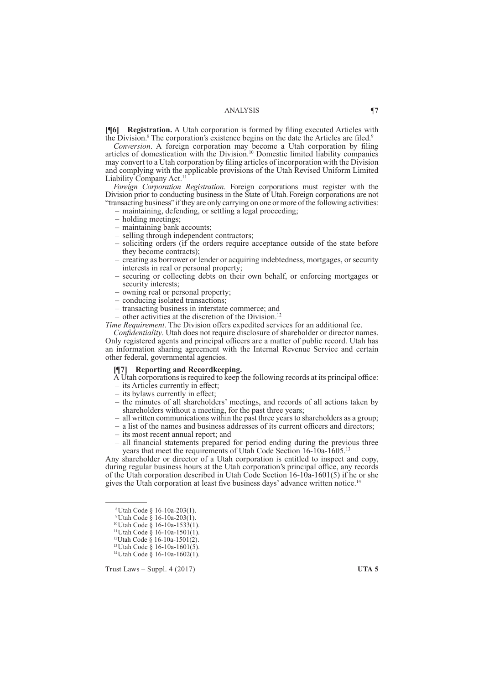# ANALYSIS **¶7**

**[¶6] Registration.** A Utah corporation is formed by filing executed Articles with the Division.<sup>8</sup> The corporation's existence begins on the date the Articles are filed.<sup>9</sup>

*Conversion*. A foreign corporation may become a Utah corporation by filing articles of domestication with the Division.<sup>10</sup> Domestic limited liability companies may convert to a Utah corporation by filing articles of incorporation with the Division and complying with the applicable provisions of the Utah Revised Uniform Limited Liability Company Act.<sup>1</sup>

*Foreign Corporation Registration*. Foreign corporations must register with the Division prior to conducting business in the State of Utah.Foreign corporations are not "transacting business" if they are only carrying on one or more of the following activities: – maintaining, defending, or settling a legal proceeding;

- 
- holding meetings;
- maintaining bank accounts;
- selling through independent contractors;
- soliciting orders (if the orders require acceptance outside of the state before they become contracts);
- creating as borrower or lender or acquiring indebtedness, mortgages, or security interests in real or personal property;
- securing or collecting debts on their own behalf, or enforcing mortgages or security interests;
- owning real or personal property;
- conducing isolated transactions;
- transacting business in interstate commerce; and
- other activities at the discretion of the Division.12

*Time Requirement*. The Division offers expedited services for an additional fee.

*Confidentiality*. Utah does not require disclosure of shareholder or director names. Only registered agents and principal officers are a matter of public record. Utah has an information sharing agreement with the Internal Revenue Service and certain other federal, governmental agencies.

# **Reporting and Recordkeeping.**

A Utah corporations is required to keep the following records at its principal office:

- its Articles currently in effect;
- its bylaws currently in effect;
- the minutes of all shareholders' meetings, and records of all actions taken by shareholders without a meeting, for the past three years;
- all written communications within the past three years to shareholders as a group;
- a list of the names and business addresses of its current officers and directors;
- its most recent annual report; and
- all financial statements prepared for period ending during the previous three years that meet the requirements of Utah Code Section 16-10a-1605.13

Any shareholder or director of a Utah corporation is entitled to inspect and copy, during regular business hours at the Utah corporation's principal office, any records of the Utah corporation described in Utah Code Section 16-10a-1601(5) if he or she gives the Utah corporation at least five business days' advance written notice.<sup>14</sup>

<sup>8</sup>Utah Code § 16-10a-203(1).

|  | <sup>9</sup> Utah Code § 16-10a-203(1). |
|--|-----------------------------------------|
|--|-----------------------------------------|

<sup>10</sup>Utah Code § 16-10a-1533(1).

Trust Laws – Suppl. 4 (2017) **UTA 5**

<sup>11</sup>Utah Code § 16-10a-1501(1).

<sup>12</sup>Utah Code § 16-10a-1501(2).

<sup>13</sup>Utah Code § 16-10a-1601(5).

<sup>&</sup>lt;sup>14</sup>Utah Code § 16-10a-1602(1).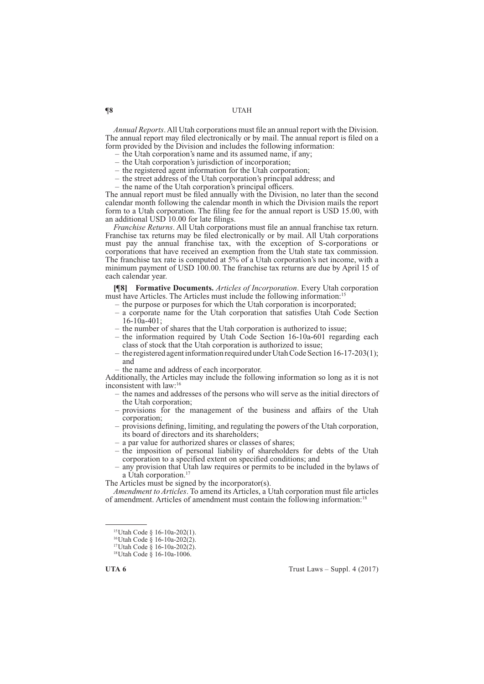*Annual Reports*. All Utah corporations must file an annual report with the Division. The annual report may filed electronically or by mail. The annual report is filed on a form provided by the Division and includes the following information:

- the Utah corporation's name and its assumed name, if any;
- the Utah corporation's jurisdiction of incorporation;
- the registered agent information for the Utah corporation;
- the street address of the Utah corporation's principal address; and
- the name of the Utah corporation's principal officers.

The annual report must be filed annually with the Division, no later than the second calendar month following the calendar month in which the Division mails the report form to a Utah corporation. The filing fee for the annual report is USD 15.00, with an additional USD 10.00 for late filings.

*Franchise Returns*. All Utah corporations must file an annual franchise tax return. Franchise tax returns may be filed electronically or by mail. All Utah corporations must pay the annual franchise tax, with the exception of S-corporations or corporations that have received an exemption from the Utah state tax commission. The franchise tax rate is computed at  $5\%$  of a Utah corporation's net income, with a minimum payment of USD 100.00. The franchise tax returns are due by April 15 of each calendar year.

**[¶8] Formative Documents.** *Articles of Incorporation*. Every Utah corporation must have Articles. The Articles must include the following information:<sup>1</sup>

- the purpose or purposes for which the Utah corporation is incorporated;
- a corporate name for the Utah corporation that satisfies Utah Code Section 16-10a-401;
- the number of shares that the Utah corporation is authorized to issue;
- the information required by Utah Code Section 16-10a-601 regarding each class of stock that the Utah corporation is authorized to issue;
- the registered agent information required under Utah Code Section 16-17-203(1); and

the name and address of each incorporator.

Additionally, the Articles may include the following information so long as it is not inconsistent with law:16

- the names and addresses of the persons who will serve as the initial directors of the Utah corporation;
- provisions for the management of the business and affairs of the Utah corporation;
- provisions defining, limiting, and regulating the powers of the Utah corporation, its board of directors and its shareholders;
- a par value for authorized shares or classes of shares;
- the imposition of personal liability of shareholders for debts of the Utah corporation to a specified extent on specified conditions; and
- any provision that Utah law requires or permits to be included in the bylaws of a Utah corporation.<sup>17</sup>

The Articles must be signed by the incorporator(s).

*Amendment to Articles*. To amend its Articles, a Utah corporation must file articles of amendment. Articles of amendment must contain the following information:18

**UTA 6** Trust Laws – Suppl. 4 (2017)

<sup>15</sup>Utah Code § 16-10a-202(1).

<sup>16</sup>Utah Code § 16-10a-202(2).

<sup>17</sup>Utah Code § 16-10a-202(2).

<sup>18</sup>Utah Code § 16-10a-1006.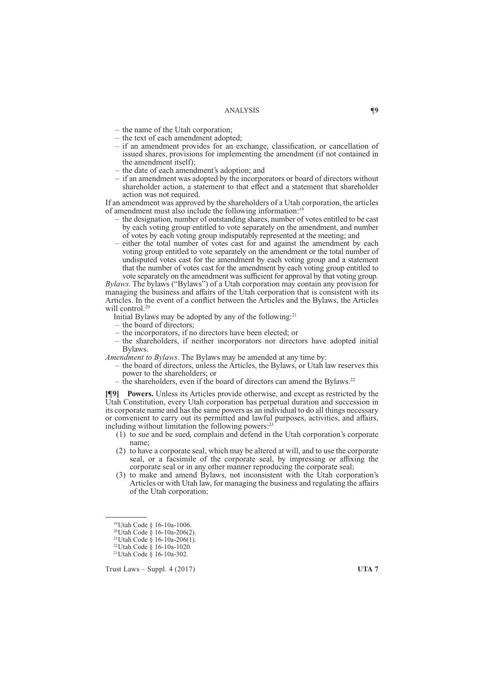# ANALYSIS **¶9**

- the name of the Utah corporation;
- the text of each amendment adopted;
- if an amendment provides for an exchange, classification, or cancellation of issued shares, provisions for implementing the amendment (if not contained in the amendment itself);
- the date of each amendment's adoption; and
- if an amendment was adopted by the incorporators or board of directors without shareholder action, a statement to that effect and a statement that shareholder action was not required.

If an amendment was approved by the shareholders of a Utah corporation, the articles of amendment must also include the following information:19

- the designation, number of outstanding shares, number of votes entitled to be cast by each voting group entitled to vote separately on the amendment, and number of votes by each voting group indisputably represented at the meeting; and
- either the total number of votes cast for and against the amendment by each voting group entitled to vote separately on the amendment or the total number of undisputed votes cast for the amendment by each voting group and a statement that the number of votes cast for the amendment by each voting group entitled to vote separately on the amendment was sufficient for approval by that voting group.

*Bylaws*. The bylaws ("Bylaws") of a Utah corporation may contain any provision for managing the business and affairs of the Utah corporation that is consistent with its Articles. In the event of a conflict between the Articles and the Bylaws, the Articles will control.<sup>20</sup>

Initial Bylaws may be adopted by any of the following: $21$ 

- the board of directors;
- the incorporators, if no directors have been elected; or
- the shareholders, if neither incorporators nor directors have adopted initial Bylaws.

*Amendment to Bylaws*. The Bylaws may be amended at any time by:

- the board of directors, unless the Articles, the Bylaws, or Utah law reserves this power to the shareholders; or
- the shareholders, even if the board of directors can amend the Bylaws.<sup>22</sup>

**[¶9] Powers.** Unless its Articles provide otherwise, and except as restricted by the Utah Constitution, every Utah corporation has perpetual duration and succession in its corporate name and has the same powers as an individual to do all things necessary or convenient to carry out its permitted and lawful purposes, activities, and affairs, including without limitation the following powers:<sup>23</sup>

- (1) to sue and be sued, complain and defend in the Utah corporation's corporate name;
- (2) to have a corporate seal, which may be altered at will, and to use the corporate seal, or a facsimile of the corporate seal, by impressing or affixing the corporate seal or in any other manner reproducing the corporate seal;
- (3) to make and amend Bylaws, not inconsistent with the Utah corporation's Articles or with Utah law, for managing the business and regulating the affairs of the Utah corporation;

Trust Laws – Suppl. 4 (2017) **UTA 7**

<sup>19</sup>Utah Code § 16-10a-1006.

<sup>20</sup>Utah Code § 16-10a-206(2).

<sup>21</sup>Utah Code § 16-10a-206(1).

<sup>22</sup>Utah Code § 16-10a-1020.

<sup>23</sup>Utah Code § 16-10a-302.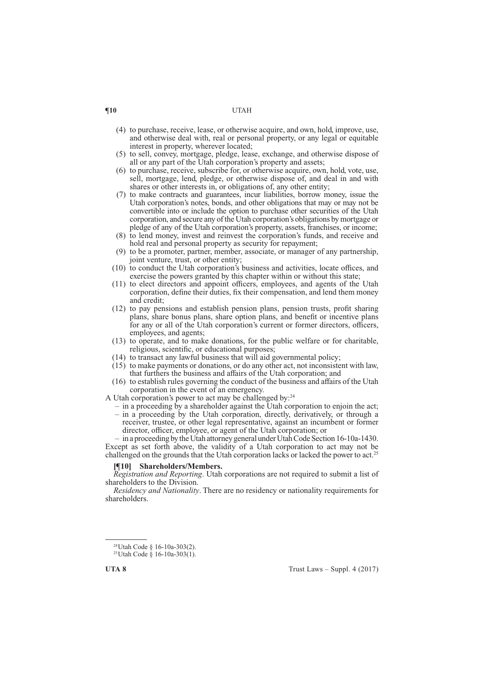# **¶10** UTAH

- (4) to purchase, receive, lease, or otherwise acquire, and own, hold, improve, use, and otherwise deal with, real or personal property, or any legal or equitable interest in property, wherever located;
- (5) to sell, convey, mortgage, pledge, lease, exchange, and otherwise dispose of all or any part of the Utah corporation's property and assets;
- (6) to purchase, receive, subscribe for, or otherwise acquire, own, hold, vote, use, sell, mortgage, lend, pledge, or otherwise dispose of, and deal in and with shares or other interests in, or obligations of, any other entity;
- (7) to make contracts and guarantees, incur liabilities, borrow money, issue the Utah corporation's notes, bonds, and other obligations that may or may not be convertible into or include the option to purchase other securities of the Utah corporation, and secure any of the Utah corporation's obligations by mortgage or pledge of any of the Utah corporation's property, assets, franchises, or income;
- (8) to lend money, invest and reinvest the corporation's funds, and receive and hold real and personal property as security for repayment;
- (9) to be a promoter, partner, member, associate, or manager of any partnership, joint venture, trust, or other entity;
- (10) to conduct the Utah corporation's business and activities, locate offices, and exercise the powers granted by this chapter within or without this state;
- (11) to elect directors and appoint officers, employees, and agents of the Utah corporation, define their duties, fix their compensation, and lend them money and credit;
- (12) to pay pensions and establish pension plans, pension trusts, profit sharing plans, share bonus plans, share option plans, and benefit or incentive plans for any or all of the Utah corporation's current or former directors, officers, employees, and agents;
- (13) to operate, and to make donations, for the public welfare or for charitable, religious, scientific, or educational purposes;
- (14) to transact any lawful business that will aid governmental policy;
- (15) to make payments or donations, or do any other act, not inconsistent with law, that furthers the business and affairs of the Utah corporation; and
- (16) to establish rules governing the conduct of the business and affairs of the Utah corporation in the event of an emergency.

A Utah corporation's power to act may be challenged by:24

– in a proceeding by a shareholder against the Utah corporation to enjoin the act; – in a proceeding by the Utah corporation, directly, derivatively, or through a receiver, trustee, or other legal representative, against an incumbent or former director, officer, employee, or agent of the Utah corporation; or

– in a proceeding by the Utah attorney general under Utah Code Section 16-10a-1430.

Except as set forth above, the validity of a Utah corporation to act may not be challenged on the grounds that the Utah corporation lacks or lacked the power to act.<sup>25</sup>

# **[¶10] Shareholders/Members.**

*Registration and Reporting*. Utah corporations are not required to submit a list of shareholders to the Division.

*Residency and Nationality*. There are no residency or nationality requirements for shareholders.

<sup>24</sup>Utah Code § 16-10a-303(2).

<sup>&</sup>lt;sup>25</sup> Utah Code § 16-10a-303(1).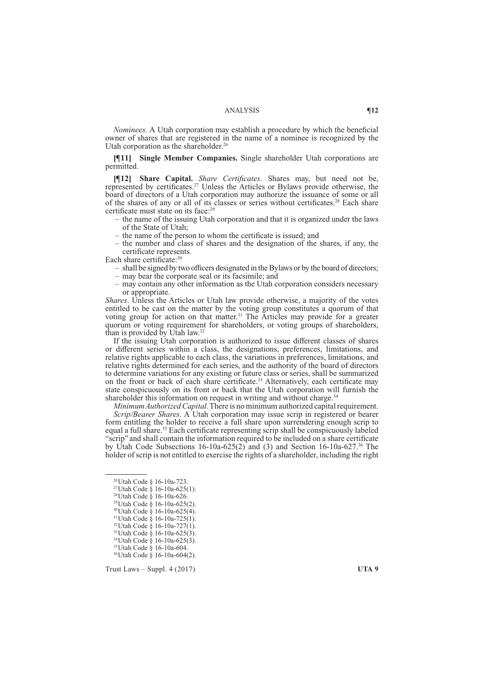# ANALYSIS **¶12**

*Nominees*. A Utah corporation may establish a procedure by which the beneficial owner of shares that are registered in the name of a nominee is recognized by the Utah corporation as the shareholder.<sup>26</sup>

**[¶11] Single Member Companies.** Single shareholder Utah corporations are permitted.

**[¶12] Share Capital.** *Share Certificates*. Shares may, but need not be, represented by certificates.<sup>27</sup> Unless the Articles or Bylaws provide otherwise, the board of directors of a Utah corporation may authorize the issuance of some or all of the shares of any or all of its classes or series without certificates.<sup>28</sup> Each share certificate must state on its face:<sup>29</sup>

- the name of the issuing Utah corporation and that it is organized under the laws of the State of Utah;
- the name of the person to whom the certificate is issued; and
- the number and class of shares and the designation of the shares, if any, the certificate represents.

Each share certificate: $30$ 

- shall be signed by two officers designated in the Bylaws or by the board of directors;
- may bear the corporate seal or its facsimile; and
- may contain any other information as the Utah corporation considers necessary or appropriate.

*Shares*. Unless the Articles or Utah law provide otherwise, a majority of the votes entitled to be cast on the matter by the voting group constitutes a quorum of that voting group for action on that matter.31 The Articles may provide for a greater quorum or voting requirement for shareholders, or voting groups of shareholders, than is provided by Utah law.<sup>32</sup>

If the issuing Utah corporation is authorized to issue different classes of shares or different series within a class, the designations, preferences, limitations, and relative rights applicable to each class, the variations in preferences, limitations, and relative rights determined for each series, and the authority of the board of directors to determine variations for any existing or future class or series, shall be summarized on the front or back of each share certificate.<sup>33</sup> Alternatively, each certificate may state conspicuously on its front or back that the Utah corporation will furnish the shareholder this information on request in writing and without charge.<sup>34</sup>

*Minimum Authorized Capital*. There is no minimum authorized capital requirement. *Scrip/Bearer Shares*. A Utah corporation may issue scrip in registered or bearer form entitling the holder to receive a full share upon surrendering enough scrip to equal a full share.<sup>35</sup> Each certificate representing scrip shall be conspicuously labeled "scrip" and shall contain the information required to be included on a share certificate by Utah Code Subsections  $16-10a-625(2)$  and (3) and Section  $16-10a-627$ .<sup>36</sup> The holder of scrip is not entitled to exercise the rights of a shareholder, including the right

| <sup>26</sup> Utah Code § 16-10a-723. |                                          |
|---------------------------------------|------------------------------------------|
|                                       | <sup>27</sup> Utah Code § 16-10a-625(1). |

28Utah Code § 16-10a-626.

Trust Laws – Suppl. 4 (2017) **UTA 9**

<sup>29</sup>Utah Code § 16-10a-625(2).

<sup>30</sup>Utah Code § 16-10a-625(4).

<sup>31</sup>Utah Code § 16-10a-725(1).

<sup>32</sup>Utah Code § 16-10a-727(1).

<sup>33</sup>Utah Code § 16-10a-625(3).

 $34$ Utah Code § 16-10a-625(3).

<sup>35</sup>Utah Code § 16-10a-604.

<sup>36</sup>Utah Code § 16-10a-604(2).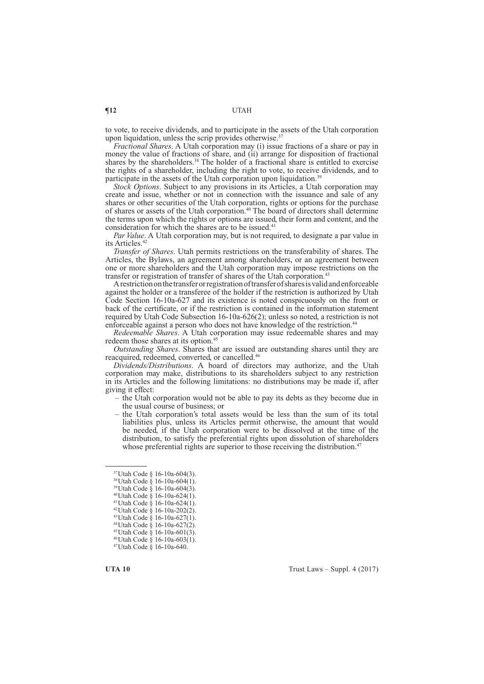to vote, to receive dividends, and to participate in the assets of the Utah corporation upon liquidation, unless the scrip provides otherwise. $37$ 

*Fractional Shares*. A Utah corporation may (i) issue fractions of a share or pay in money the value of fractions of share, and (ii) arrange for disposition of fractional shares by the shareholders.38 The holder of a fractional share is entitled to exercise the rights of a shareholder, including the right to vote, to receive dividends, and to participate in the assets of the Utah corporation upon liquidation.<sup>39</sup>

*Stock Options*. Subject to any provisions in its Articles, a Utah corporation may create and issue, whether or not in connection with the issuance and sale of any shares or other securities of the Utah corporation, rights or options for the purchase of shares or assets of the Utah corporation.40 The board of directors shall determine the terms upon which the rights or options are issued, their form and content, and the consideration for which the shares are to be issued.<sup>41</sup>

*Par Value*. A Utah corporation may, but is not required, to designate a par value in its Articles.<sup>42</sup>

*Transfer of Shares*. Utah permits restrictions on the transferability of shares. The Articles, the Bylaws, an agreement among shareholders, or an agreement between one or more shareholders and the Utah corporation may impose restrictions on the transfer or registration of transfer of shares of the Utah corporation.<sup>43</sup>

A restriction on the transfer or registration of transfer of shares is valid and enforceable against the holder or a transferee of the holder if the restriction is authorized by Utah Code Section 16-10a-627 and its existence is noted conspicuously on the front or back of the certificate, or if the restriction is contained in the information statement required by Utah Code Subsection 16-10a-626(2); unless so noted, a restriction is not enforceable against a person who does not have knowledge of the restriction.44

*Redeemable Shares*. A Utah corporation may issue redeemable shares and may redeem those shares at its option.<sup>45</sup>

*Outstanding Shares*. Shares that are issued are outstanding shares until they are reacquired, redeemed, converted, or cancelled.46

*Dividends/Distributions*. A board of directors may authorize, and the Utah corporation may make, distributions to its shareholders subject to any restriction in its Articles and the following limitations: no distributions may be made if, after giving it effect:

- the Utah corporation would not be able to pay its debts as they become due in the usual course of business; or
- the Utah corporation's total assets would be less than the sum of its total liabilities plus, unless its Articles permit otherwise, the amount that would be needed, if the Utah corporation were to be dissolved at the time of the distribution, to satisfy the preferential rights upon dissolution of shareholders whose preferential rights are superior to those receiving the distribution.<sup>47</sup>

| <sup>37</sup> Utah Code § 16-10a-604(3). |
|------------------------------------------|
| <sup>38</sup> Utah Code § 16-10a-604(1). |
| <sup>39</sup> Utah Code § 16-10a-604(3). |
| <sup>40</sup> Utah Code § 16-10a-624(1). |
| <sup>41</sup> Utah Code § 16-10a-624(1). |
| $42$ Utah Code § 16-10a-202(2).          |
| $43$ Utah Code § 16-10a-627(1).          |
| <sup>44</sup> Utah Code § 16-10a-627(2). |
| <sup>45</sup> Utah Code § 16-10a-601(3). |
| $\lambda$                                |

<sup>46</sup>Utah Code § 16-10a-603(1).

47Utah Code § 16-10a-640.

**UTA 10** Trust Laws – Suppl. 4 (2017)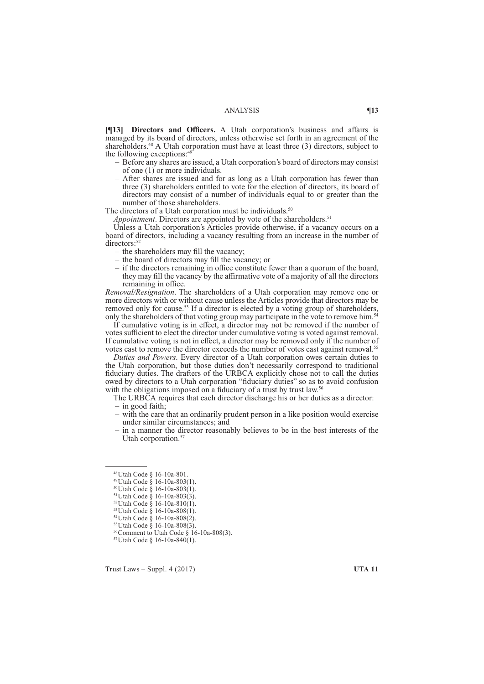**[¶13] Directors and Officers.** A Utah corporation's business and affairs is managed by its board of directors, unless otherwise set forth in an agreement of the shareholders.<sup>48</sup> A Utah corporation must have at least three (3) directors, subject to the following exceptions:<sup>49</sup>

– Before any shares are issued, a Utah corporation's board of directors may consist of one (1) or more individuals.

– After shares are issued and for as long as a Utah corporation has fewer than three  $(3)$  shareholders entitled to vote for the election of directors, its board of directors may consist of a number of individuals equal to or greater than the number of those shareholders.

The directors of a Utah corporation must be individuals.<sup>50</sup>

*Appointment*. Directors are appointed by vote of the shareholders.<sup>51</sup>

Unless a Utah corporation's Articles provide otherwise, if a vacancy occurs on a board of directors, including a vacancy resulting from an increase in the number of directors:<sup>52</sup>

- the shareholders may fill the vacancy;
- the board of directors may fill the vacancy; or
- if the directors remaining in office constitute fewer than a quorum of the board, they may fill the vacancy by the affirmative vote of a majority of all the directors remaining in office.

*Removal/Resignation*. The shareholders of a Utah corporation may remove one or more directors with or without cause unless the Articles provide that directors may be removed only for cause.<sup>53</sup> If a director is elected by a voting group of shareholders, only the shareholders of that voting group may participate in the vote to remove him.<sup>54</sup>

If cumulative voting is in effect, a director may not be removed if the number of votes sufficient to elect the director under cumulative voting is voted against removal. If cumulative voting is not in effect, a director may be removed only if the number of votes cast to remove the director exceeds the number of votes cast against removal.55

*Duties and Powers*. Every director of a Utah corporation owes certain duties to the Utah corporation, but those duties don't necessarily correspond to traditional fiduciary duties. The drafters of the URBCA explicitly chose not to call the duties owed by directors to a Utah corporation "fiduciary duties" so as to avoid confusion with the obligations imposed on a fiduciary of a trust by trust law.<sup>56</sup>

The URBCA requires that each director discharge his or her duties as a director: – in good faith;

- with the care that an ordinarily prudent person in a like position would exercise under similar circumstances; and
- in a manner the director reasonably believes to be in the best interests of the Utah corporation.<sup>57</sup>

- 50Utah Code § 16-10a-803(1).
- 51Utah Code § 16-10a-803(3).
- $52$ Utah Code § 16-10a-810(1).
- 53Utah Code § 16-10a-808(1).

Trust Laws – Suppl. 4 (2017) **UTA 11**

<sup>48</sup>Utah Code § 16-10a-801.

<sup>49</sup>Utah Code § 16-10a-803(1).

<sup>54</sup>Utah Code § 16-10a-808(2).

<sup>55</sup>Utah Code § 16-10a-808(3). 56Comment to Utah Code § 16-10a-808(3).

<sup>57</sup>Utah Code § 16-10a-840(1).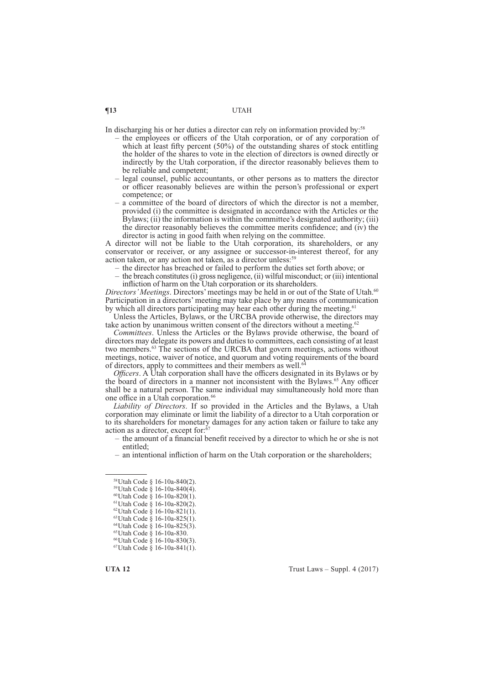# **¶13** UTAH

In discharging his or her duties a director can rely on information provided by:<sup>58</sup>

- the employees or officers of the Utah corporation, or of any corporation of which at least fifty percent (50%) of the outstanding shares of stock entitling the holder of the shares to vote in the election of directors is owned directly or indirectly by the Utah corporation, if the director reasonably believes them to be reliable and competent;
- legal counsel, public accountants, or other persons as to matters the director or officer reasonably believes are within the person's professional or expert competence; or
- a committee of the board of directors of which the director is not a member, provided (i) the committee is designated in accordance with the Articles or the Bylaws;  $(ii)$  the information is within the committee's designated authority;  $(iii)$ the director reasonably believes the committee merits confidence; and (iv) the director is acting in good faith when relying on the committee.

A director will not be liable to the Utah corporation, its shareholders, or any conservator or receiver, or any assignee or successor-in-interest thereof, for any action taken, or any action not taken, as a director unless:

- the director has breached or failed to perform the duties set forth above; or
- the breach constitutes (i) gross negligence, (ii) wilful misconduct; or (iii) intentional infliction of harm on the Utah corporation or its shareholders.

*Directors' Meetings*. Directors' meetings may be held in or out of the State of Utah.60 Participation in a directors' meeting may take place by any means of communication by which all directors participating may hear each other during the meeting.<sup>61</sup>

Unless the Articles, Bylaws, or the URCBA provide otherwise, the directors may take action by unanimous written consent of the directors without a meeting.<sup>62</sup>

*Committees*. Unless the Articles or the Bylaws provide otherwise, the board of directors may delegate its powers and duties to committees, each consisting of at least two members.<sup>63</sup> The sections of the URCBA that govern meetings, actions without meetings, notice, waiver of notice, and quorum and voting requirements of the board of directors, apply to committees and their members as well.<sup>6</sup>

*Officers*. A Utah corporation shall have the officers designated in its Bylaws or by the board of directors in a manner not inconsistent with the Bylaws.<sup>65</sup> Any officer shall be a natural person. The same individual may simultaneously hold more than one office in a Utah corporation.<sup>66</sup>

*Liability of Directors*. If so provided in the Articles and the Bylaws, a Utah corporation may eliminate or limit the liability of a director to a Utah corporation or to its shareholders for monetary damages for any action taken or failure to take any action as a director, except for: $\delta$ 

- the amount of a financial benefit received by a director to which he or she is not entitled;
- an intentional infliction of harm on the Utah corporation or the shareholders;

|  | <sup>58</sup> Utah Code § 16-10a-840(2). |
|--|------------------------------------------|
|  | $59$ Utah Code § 16-10a-840(4).          |
|  | <sup>60</sup> Utah Code § 16-10a-820(1). |
|  |                                          |

- $61$ Utah Code § 16-10a-820(2).
- $62$ Utah Code § 16-10a-821(1).
- 63Utah Code § 16-10a-825(1).
- 64Utah Code § 16-10a-825(3).
- 65Utah Code § 16-10a-830. 66Utah Code § 16-10a-830(3).
- 67Utah Code § 16-10a-841(1).

**UTA 12** Trust Laws – Suppl. 4 (2017)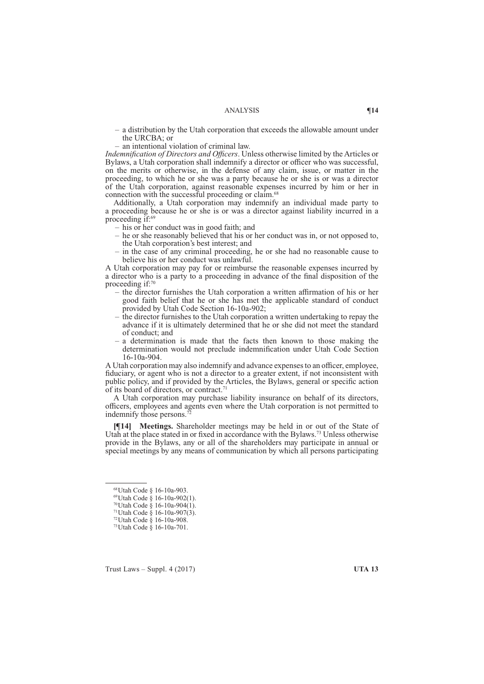– a distribution by the Utah corporation that exceeds the allowable amount under the URCBA; or

– an intentional violation of criminal law.

*Indemnification of Directors and Officers*. Unless otherwise limited by the Articles or Bylaws, a Utah corporation shall indemnify a director or officer who was successful, on the merits or otherwise, in the defense of any claim, issue, or matter in the proceeding, to which he or she was a party because he or she is or was a director of the Utah corporation, against reasonable expenses incurred by him or her in connection with the successful proceeding or claim.<sup>68</sup>

Additionally, a Utah corporation may indemnify an individual made party to a proceeding because he or she is or was a director against liability incurred in a proceeding if:<sup>69</sup>

– his or her conduct was in good faith; and

- he or she reasonably believed that his or her conduct was in, or not opposed to, the Utah corporation's best interest; and
- in the case of any criminal proceeding, he or she had no reasonable cause to believe his or her conduct was unlawful.

A Utah corporation may pay for or reimburse the reasonable expenses incurred by a director who is a party to a proceeding in advance of the final disposition of the proceeding if:70

- the director furnishes the Utah corporation a written affirmation of his or her good faith belief that he or she has met the applicable standard of conduct
- $\overline{a}$  the director furnishes to the Utah corporation a written undertaking to repay the advance if it is ultimately determined that he or she did not meet the standard of conduct; and
- a determination is made that the facts then known to those making the determination would not preclude indemnification under Utah Code Section 16-10a-904.

A Utah corporation may also indemnify and advance expenses to an officer, employee, fiduciary, or agent who is not a director to a greater extent, if not inconsistent with public policy, and if provided by the Articles, the Bylaws, general or specific action of its board of directors, or contract.<sup>71</sup>

A Utah corporation may purchase liability insurance on behalf of its directors, officers, employees and agents even where the Utah corporation is not permitted to indemnify those persons.<sup>7</sup>

**[¶14] Meetings.** Shareholder meetings may be held in or out of the State of Utah at the place stated in or fixed in accordance with the Bylaws.73 Unless otherwise provide in the Bylaws, any or all of the shareholders may participate in annual or special meetings by any means of communication by which all persons participating

Trust Laws – Suppl. 4 (2017) **UTA 13**

<sup>68</sup>Utah Code § 16-10a-903.

<sup>69</sup>Utah Code § 16-10a-902(1).

<sup>70</sup>Utah Code § 16-10a-904(1).

 $71$ Utah Code § 16-10a-907(3).

<sup>72</sup>Utah Code § 16-10a-908. 73Utah Code § 16-10a-701.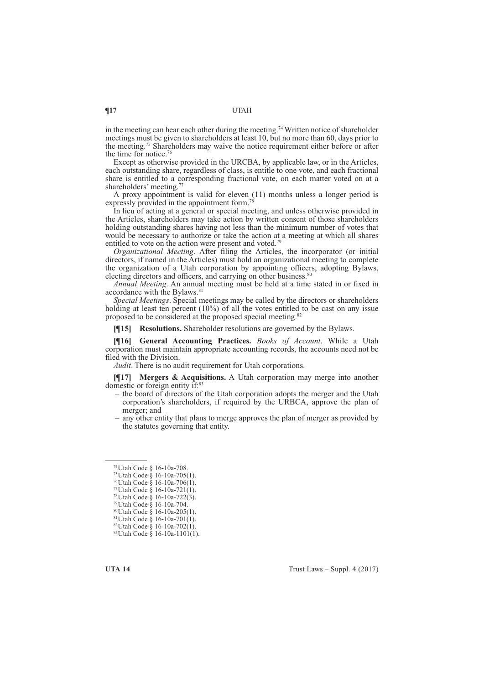**¶17** UTAH

in the meeting can hear each other during the meeting.74 Written notice of shareholder meetings must be given to shareholders at least 10, but no more than 60, days prior to the meeting.75 Shareholders may waive the notice requirement either before or after the time for notice.<sup>76</sup>

Except as otherwise provided in the URCBA, by applicable law, or in the Articles, each outstanding share, regardless of class, is entitle to one vote, and each fractional share is entitled to a corresponding fractional vote, on each matter voted on at a shareholders' meeting.

A proxy appointment is valid for eleven (11) months unless a longer period is expressly provided in the appointment form.<sup>7</sup>

In lieu of acting at a general or special meeting, and unless otherwise provided in the Articles, shareholders may take action by written consent of those shareholders holding outstanding shares having not less than the minimum number of votes that would be necessary to authorize or take the action at a meeting at which all shares entitled to vote on the action were present and voted.<sup>79</sup>

*Organizational Meeting*. After filing the Articles, the incorporator (or initial directors, if named in the Articles) must hold an organizational meeting to complete the organization of a Utah corporation by appointing officers, adopting Bylaws, electing directors and officers, and carrying on other business.<sup>80</sup>

*Annual Meeting*. An annual meeting must be held at a time stated in or fixed in accordance with the Bylaws.<sup>81</sup>

*Special Meetings*. Special meetings may be called by the directors or shareholders holding at least ten percent  $(10\%)$  of all the votes entitled to be cast on any issue proposed to be considered at the proposed special meeting.<sup>82</sup>

**[¶15] Resolutions.** Shareholder resolutions are governed by the Bylaws.

**[¶16] General Accounting Practices.** *Books of Account*. While a Utah corporation must maintain appropriate accounting records, the accounts need not be filed with the Division.

*Audit*. There is no audit requirement for Utah corporations.

**[¶17] Mergers & Acquisitions.** A Utah corporation may merge into another domestic or foreign entity if:<sup>83</sup>

- the board of directors of the Utah corporation adopts the merger and the Utah corporation's shareholders, if required by the URBCA, approve the plan of merger; and
- any other entity that plans to merge approves the plan of merger as provided by the statutes governing that entity.

**UTA 14** Trust Laws – Suppl. 4 (2017)

<sup>74</sup>Utah Code § 16-10a-708.

<sup>75</sup>Utah Code § 16-10a-705(1). 76Utah Code § 16-10a-706(1).

 $77$ Utah Code § 16-10a-721(1).

 $78$ Utah Code § 16-10a-722(3).

<sup>79</sup>Utah Code § 16-10a-704.

<sup>80</sup>Utah Code § 16-10a-205(1).

 $81$ Utah Code § 16-10a-701(1).

 $82$ Utah Code § 16-10a-702(1).

 $83$ Utah Code § 16-10a-1101(1).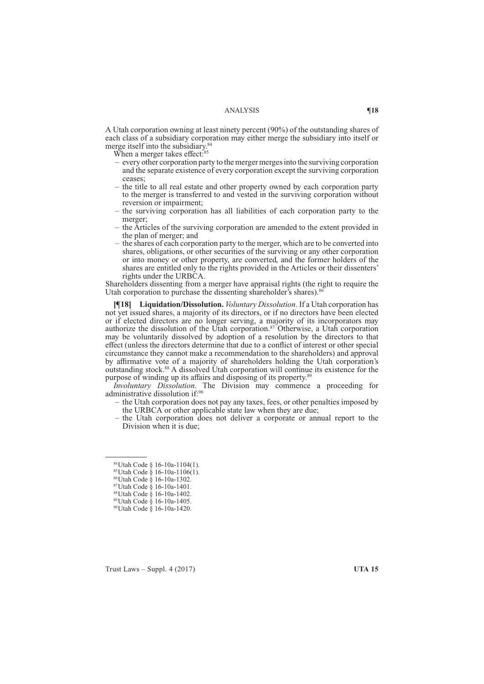A Utah corporation owning at least ninety percent (90%) of the outstanding shares of each class of a subsidiary corporation may either merge the subsidiary into itself or merge itself into the subsidiary.<sup>84</sup>

When a merger takes effect:<sup>85</sup>

- every other corporation party to the merger merges into the surviving corporation and the separate existence of every corporation except the surviving corporation ceases;
- the title to all real estate and other property owned by each corporation party to the merger is transferred to and vested in the surviving corporation without reversion or impairment;
- the surviving corporation has all liabilities of each corporation party to the merger;
- the Articles of the surviving corporation are amended to the extent provided in the plan of merger; and
- the shares of each corporation party to the merger, which are to be converted into shares, obligations, or other securities of the surviving or any other corporation or into money or other property, are converted, and the former holders of the shares are entitled only to the rights provided in the Articles or their dissenters' rights under the URBCA.

Shareholders dissenting from a merger have appraisal rights (the right to require the Utah corporation to purchase the dissenting shareholder's shares).<sup>8</sup>

**[¶18] Liquidation/Dissolution.** *Voluntary Dissolution*. If a Utah corporation has not yet issued shares, a majority of its directors, or if no directors have been elected or if elected directors are no longer serving, a majority of its incorporators may authorize the dissolution of the Utah corporation.<sup>87</sup> Otherwise, a Utah corporation may be voluntarily dissolved by adoption of a resolution by the directors to that effect (unless the directors determine that due to a conflict of interest or other special circumstance they cannot make a recommendation to the shareholders) and approval by affirmative vote of a majority of shareholders holding the Utah corporation's outstanding stock.88 A dissolved Utah corporation will continue its existence for the purpose of winding up its affairs and disposing of its property.<sup>89</sup>

*Involuntary Dissolution*. The Division may commence a proceeding for administrative dissolution if:<sup>90</sup>

- the Utah corporation does not pay any taxes, fees, or other penalties imposed by the URBCA or other applicable state law when they are due;
- the Utah corporation does not deliver a corporate or annual report to the Division when it is due;

<sup>84</sup>Utah Code § 16-10a-1104(1).

<sup>85</sup>Utah Code § 16-10a-1106(1).

<sup>86</sup>Utah Code § 16-10a-1302.

<sup>87</sup>Utah Code § 16-10a-1401.

<sup>88</sup>Utah Code § 16-10a-1402. 89Utah Code § 16-10a-1405.

<sup>90</sup>Utah Code § 16-10a-1420.